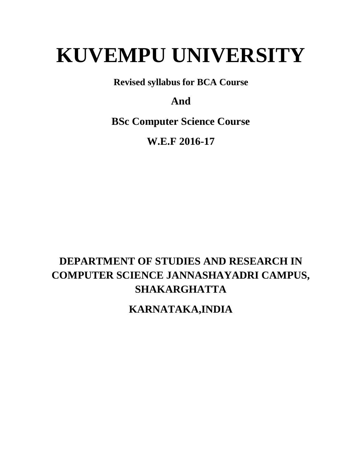# **KUVEMPU UNIVERSITY**

**Revised syllabus for BCA Course** 

# **And**

**BSc Computer Science Course** 

**W.E.F 2016-17** 

# **DEPARTMENT OF STUDIES AND RESEARCH IN COMPUTER SCIENCE JANNASHAYADRI CAMPUS, SHAKARGHATTA**

**KARNATAKA,INDIA**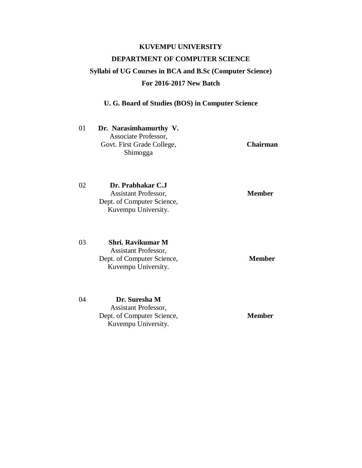# **KUVEMPU UNIVERSITY DEPARTMENT OF COMPUTER SCIENCE Syllabi of UG Courses in BCA and B.Sc (Computer Science) For 2016-2017 New Batch**

|    | U. G. Board of Studies (BOS) in Computer Science                                                      |                 |  |  |  |  |
|----|-------------------------------------------------------------------------------------------------------|-----------------|--|--|--|--|
| 01 | Dr. Narasimhamurthy V.<br>Associate Professor,<br>Govt. First Grade College,<br>Shimogga              | <b>Chairman</b> |  |  |  |  |
| 02 | Dr. Prabhakar C.J<br><b>Assistant Professor,</b><br>Dept. of Computer Science,<br>Kuvempu University. | <b>Member</b>   |  |  |  |  |
| 03 | Shri. Ravikumar M<br>Assistant Professor,<br>Dept. of Computer Science,<br>Kuvempu University.        | <b>Member</b>   |  |  |  |  |
| 04 | Dr. Suresha M<br><b>Assistant Professor,</b><br>Dept. of Computer Science,<br>Kuvempu University.     | <b>Member</b>   |  |  |  |  |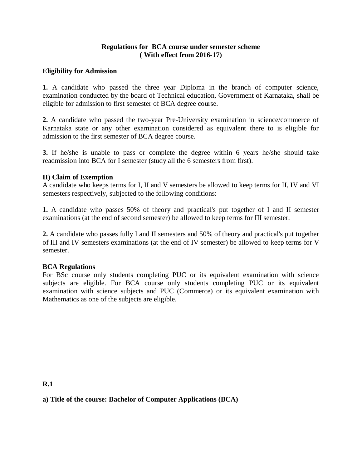#### **Regulations for BCA course under semester scheme ( With effect from 2016-17)**

#### **Eligibility for Admission**

**1.** A candidate who passed the three year Diploma in the branch of computer science, examination conducted by the board of Technical education, Government of Karnataka, shall be eligible for admission to first semester of BCA degree course.

**2.** A candidate who passed the two-year Pre-University examination in science/commerce of Karnataka state or any other examination considered as equivalent there to is eligible for admission to the first semester of BCA degree course.

**3.** If he/she is unable to pass or complete the degree within 6 years he/she should take readmission into BCA for I semester (study all the 6 semesters from first).

#### **II) Claim of Exemption**

A candidate who keeps terms for I, II and V semesters be allowed to keep terms for II, IV and VI semesters respectively, subjected to the following conditions:

**1.** A candidate who passes 50% of theory and practical's put together of I and II semester examinations (at the end of second semester) be allowed to keep terms for III semester.

**2.** A candidate who passes fully I and II semesters and 50% of theory and practical's put together of III and IV semesters examinations (at the end of IV semester) be allowed to keep terms for V semester.

#### **BCA Regulations**

For BSc course only students completing PUC or its equivalent examination with science subjects are eligible. For BCA course only students completing PUC or its equivalent examination with science subjects and PUC (Commerce) or its equivalent examination with Mathematics as one of the subjects are eligible.

**R.1** 

### **a) Title of the course: Bachelor of Computer Applications (BCA)**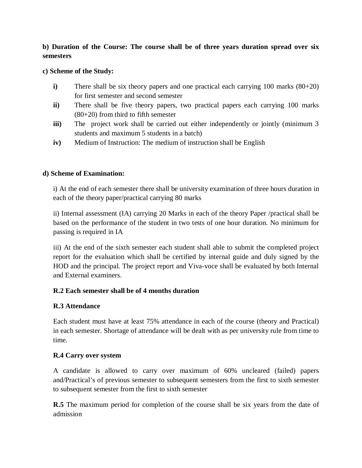### **b) Duration of the Course: The course shall be of three years duration spread over six semesters**

#### **c) Scheme of the Study:**

- **i**) There shall be six theory papers and one practical each carrying 100 marks (80+20) for first semester and second semester
- **ii)** There shall be five theory papers, two practical papers each carrying 100 marks (80+20) from third to fifth semester
- **iii**) The project work shall be carried out either independently or jointly (minimum 3) students and maximum 5 students in a batch)
- **iv)** Medium of Instruction: The medium of instruction shall be English

#### **d) Scheme of Examination:**

i) At the end of each semester there shall be university examination of three hours duration in each of the theory paper/practical carrying 80 marks

ii) Internal assessment (IA) carrying 20 Marks in each of the theory Paper /practical shall be based on the performance of the student in two tests of one hour duration. No minimum for passing is required in IA

iii) At the end of the sixth semester each student shall able to submit the completed project report for the evaluation which shall be certified by internal guide and duly signed by the HOD and the principal. The project report and Viva-voce shall be evaluated by both Internal and External examiners.

### **R.2 Each semester shall be of 4 months duration**

### **R.3 Attendance**

Each student must have at least 75% attendance in each of the course (theory and Practical) in each semester. Shortage of attendance will be dealt with as per university rule from time to time.

### **R.4 Carry over system**

A candidate is allowed to carry over maximum of 60% uncleared (failed) papers and/Practical's of previous semester to subsequent semesters from the first to sixth semester to subsequent semester from the first to sixth semester

**R.5** The maximum period for completion of the course shall be six years from the date of admission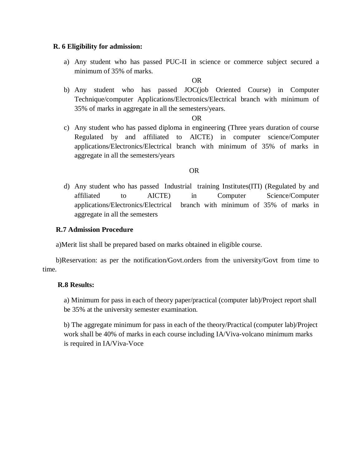#### **R. 6 Eligibility for admission:**

a) Any student who has passed PUC-II in science or commerce subject secured a minimum of 35% of marks.

#### OR

b) Any student who has passed JOC(job Oriented Course) in Computer Technique/computer Applications/Electronics/Electrical branch with minimum of 35% of marks in aggregate in all the semesters/years.

#### OR

c) Any student who has passed diploma in engineering (Three years duration of course Regulated by and affiliated to AICTE) in computer science/Computer applications/Electronics/Electrical branch with minimum of 35% of marks in aggregate in all the semesters/years

#### OR

d) Any student who has passed Industrial training Institutes(ITI) (Regulated by and affiliated to AICTE) in Computer Science/Computer applications/Electronics/Electrical branch with minimum of 35% of marks in aggregate in all the semesters

#### **R.7 Admission Procedure**

a)Merit list shall be prepared based on marks obtained in eligible course.

b)Reservation: as per the notification/Govt.orders from the university/Govt from time to time.

#### **R.8 Results:**

a) Minimum for pass in each of theory paper/practical (computer lab)/Project report shall be 35% at the university semester examination.

b) The aggregate minimum for pass in each of the theory/Practical (computer lab)/Project work shall be 40% of marks in each course including IA/Viva-volcano minimum marks is required in IA/Viva-Voce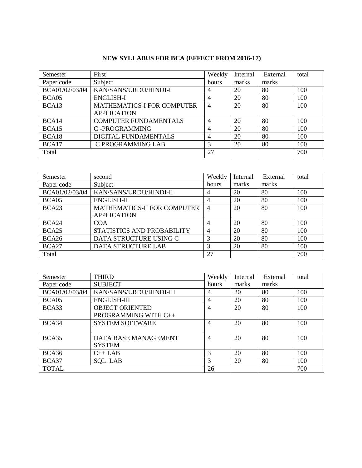### **NEW SYLLABUS FOR BCA (EFFECT FROM 2016-17)**

| Semester       | First                             | Weekly         | Internal | External | total |
|----------------|-----------------------------------|----------------|----------|----------|-------|
| Paper code     | Subject                           | hours          | marks    | marks    |       |
| BCA01/02/03/04 | KAN/SANS/URDU/HINDI-I             | $\overline{4}$ | 20       | 80       | 100   |
| BCA05          | <b>ENGLISH-I</b>                  | $\overline{4}$ | 20       | 80       | 100   |
| BCA13          | <b>MATHEMATICS-I FOR COMPUTER</b> | $\overline{4}$ | 20       | 80       | 100   |
|                | <b>APPLICATION</b>                |                |          |          |       |
| BCA14          | <b>COMPUTER FUNDAMENTALS</b>      | $\overline{4}$ | 20       | 80       | 100   |
| BCA15          | C-PROGRAMMING                     | $\overline{4}$ | 20       | 80       | 100   |
| BCA18          | DIGITAL FUNDAMENTALS              | $\overline{4}$ | 20       | 80       | 100   |
| BCA17          | C PROGRAMMING LAB                 | 3              | 20       | 80       | 100   |
| Total          |                                   | 27             |          |          | 700   |

| Semester          | second                             | Weekly         | Internal | External | total |
|-------------------|------------------------------------|----------------|----------|----------|-------|
| Paper code        | Subject                            | hours          | marks    | marks    |       |
| BCA01/02/03/04    | KAN/SANS/URDU/HINDI-II             | $\overline{4}$ | 20       | 80       | 100   |
| BCA05             | <b>ENGLISH-II</b>                  | 4              | 20       | 80       | 100   |
| BCA <sub>23</sub> | <b>MATHEMATICS-II FOR COMPUTER</b> | $\overline{4}$ | 20       | 80       | 100   |
|                   | <b>APPLICATION</b>                 |                |          |          |       |
| BCA24             | <b>COA</b>                         | $\overline{4}$ | 20       | 80       | 100   |
| BCA <sub>25</sub> | STATISTICS AND PROBABILITY         | $\overline{4}$ | 20       | 80       | 100   |
| BCA26             | DATA STRUCTURE USING C             | 3              | 20       | 80       | 100   |
| BCA27             | <b>DATA STRUCTURE LAB</b>          | 3              | 20       | 80       | 100   |
| Total             |                                    | 27             |          |          | 700   |

| Semester       | <b>THIRD</b>            | Weekly         | Internal | External | total |
|----------------|-------------------------|----------------|----------|----------|-------|
| Paper code     | <b>SUBJECT</b>          | hours          | marks    | marks    |       |
| BCA01/02/03/04 | KAN/SANS/URDU/HINDI-III | $\overline{4}$ | 20       | 80       | 100   |
| BCA05          | <b>ENGLISH-III</b>      | $\overline{4}$ | 20       | 80       | 100   |
| BCA33          | <b>OBJECT ORIENTED</b>  | $\overline{4}$ | 20       | 80       | 100   |
|                | PROGRAMMING WITH C++    |                |          |          |       |
| BCA34          | <b>SYSTEM SOFTWARE</b>  | $\overline{4}$ | 20       | 80       | 100   |
|                |                         |                |          |          |       |
| BCA35          | DATA BASE MANAGEMENT    | $\overline{4}$ | 20       | 80       | 100   |
|                | <b>SYSTEM</b>           |                |          |          |       |
| BCA36          | $C++LAB$                | 3              | 20       | 80       | 100   |
| BCA37          | <b>SOL LAB</b>          | 3              | 20       | 80       | 100   |
| <b>TOTAL</b>   |                         | 26             |          |          | 700   |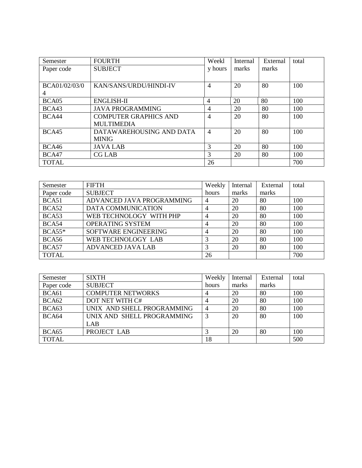| Semester      | <b>FOURTH</b>                | Weekl          | Internal | External | total |
|---------------|------------------------------|----------------|----------|----------|-------|
| Paper code    | <b>SUBJECT</b>               | y hours        | marks    | marks    |       |
|               |                              |                |          |          |       |
| BCA01/02/03/0 | KAN/SANS/URDU/HINDI-IV       | $\overline{4}$ | 20       | 80       | 100   |
| 4             |                              |                |          |          |       |
| BCA05         | <b>ENGLISH-II</b>            | $\overline{4}$ | 20       | 80       | 100   |
| BCA43         | <b>JAVA PROGRAMMING</b>      | $\overline{4}$ | 20       | 80       | 100   |
| BCA44         | <b>COMPUTER GRAPHICS AND</b> | $\overline{4}$ | 20       | 80       | 100   |
|               | <b>MULTIMEDIA</b>            |                |          |          |       |
| BCA45         | DATAWAREHOUSING AND DATA     | $\overline{4}$ | 20       | 80       | 100   |
|               | <b>MINIG</b>                 |                |          |          |       |
| BCA46         | <b>JAVALAB</b>               | 3              | 20       | 80       | 100   |
| BCA47         | CG LAB                       | 3              | 20       | 80       | 100   |
| <b>TOTAL</b>  |                              | 26             |          |          | 700   |

| Semester     | FIFTH                     | Weekly | Internal | External | total |
|--------------|---------------------------|--------|----------|----------|-------|
| Paper code   | <b>SUBJECT</b>            | hours  | marks    | marks    |       |
| BCA51        | ADVANCED JAVA PROGRAMMING | 4      | 20       | 80       | 100   |
| BCA52        | <b>DATA COMMUNICATION</b> | 4      | 20       | 80       | 100   |
| BCA53        | WEB TECHNOLOGY WITH PHP   | 4      | 20       | 80       | 100   |
| BCA54        | OPERATING SYSTEM          | 4      | 20       | 80       | 100   |
| $BCA55*$     | SOFTWARE ENGINEERING      |        | 20       | 80       | 100   |
| BCA56        | WEB TECHNOLOGY LAB        | 3      | 20       | 80       | 100   |
| BCA57        | <b>ADVANCED JAVA LAB</b>  | 3      | 20       | 80       | 100   |
| <b>TOTAL</b> |                           | 26     |          |          | 700   |

| Semester          | <b>SIXTH</b>               | Weekly | Internal | External | total |
|-------------------|----------------------------|--------|----------|----------|-------|
| Paper code        | <b>SUBJECT</b>             | hours  | marks    | marks    |       |
| BCA61             | <b>COMPUTER NETWORKS</b>   |        | 20       | 80       | 100   |
| BCA <sub>62</sub> | DOT NET WITH C#            |        | 20       | 80       | 100   |
| BCA <sub>63</sub> | UNIX AND SHELL PROGRAMMING | 4      | 20       | 80       | 100   |
| BCA64             | UNIX AND SHELL PROGRAMMING | 3      | 20       | 80       | 100   |
|                   | LAB                        |        |          |          |       |
| BCA <sub>65</sub> | PROJECT LAB                |        | 20       | 80       | 100   |
| <b>TOTAL</b>      |                            | 18     |          |          | 500   |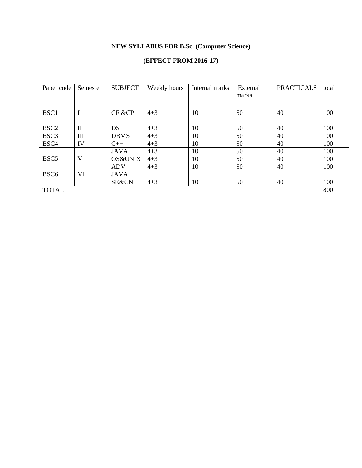### **NEW SYLLABUS FOR B.Sc. (Computer Science)**

### **(EFFECT FROM 2016-17)**

| Paper code       | Semester     | <b>SUBJECT</b>     | Weekly hours | Internal marks | External<br>marks | <b>PRACTICALS</b> | total |
|------------------|--------------|--------------------|--------------|----------------|-------------------|-------------------|-------|
| BSC1             |              | CF &CP             | $4 + 3$      | 10             | 50                | 40                | 100   |
| BSC <sub>2</sub> | $\mathbf{I}$ | DS                 | $4 + 3$      | 10             | 50                | 40                | 100   |
| BSC <sub>3</sub> | III          | <b>DBMS</b>        | $4 + 3$      | 10             | 50                | 40                | 100   |
| BSC4             | IV           | $C++$              | $4 + 3$      | 10             | 50                | 40                | 100   |
|                  |              | <b>JAVA</b>        | $4 + 3$      | 10             | 50                | 40                | 100   |
| BSC <sub>5</sub> | V            | <b>OS&amp;UNIX</b> | $4 + 3$      | 10             | 50                | 40                | 100   |
|                  |              | <b>ADV</b>         | $4 + 3$      | 10             | 50                | 40                | 100   |
| BSC <sub>6</sub> | VI           | <b>JAVA</b>        |              |                |                   |                   |       |
|                  |              | SE&CN              | $4 + 3$      | 10             | 50                | 40                | 100   |
| <b>TOTAL</b>     |              |                    |              |                |                   |                   | 800   |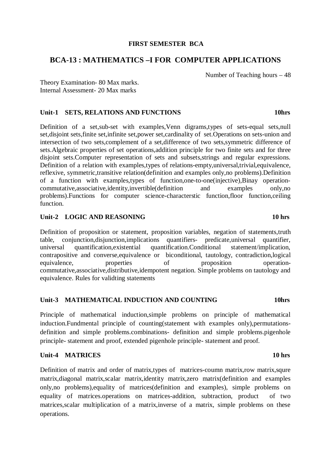#### **FIRST SEMESTER BCA**

### **BCA-13 : MATHEMATICS –I FOR COMPUTER APPLICATIONS**

Number of Teaching hours – 48

Theory Examination- 80 Max marks. Internal Assessment- 20 Max marks

#### Unit-1 SETS, RELATIONS AND FUNCTIONS **10hrs**

Definition of a set,sub-set with examples,Venn digrams,types of sets-equal sets,null set, disjoint sets, finite set, infinite set, power set, cardinality of set. Operations on sets-union and intersection of two sets,complement of a set,difference of two sets,symmetric difference of sets.Algebraic properties of set operations,addition principle for two finite sets and for three disjoint sets.Computer representation of sets and subsets,strings and regular expressions. Definition of a relation with examples,types of relations-empty,universal,trivial,equivalence, reflexive, symmetric,transitive relation(definition and examples only,no problems).Definition of a function with examples,types of function,one-to-one(injective),Binay operationcommutative,associative,identity,invertible(definition and examples only,no problems).Functions for computer science-characterstic function,floor function,ceiling function.

#### **Unit-2** LOGIC AND REASONING 10 hrs **10 hrs**

Definition of proposition or statement, proposition variables, negation of statements,truth table, conjunction,disjunction,implications quantifiers- predicate,universal quantifier, universal quantification,existential quantification.Conditional statement/implication, contrapositive and converse,equivalence or biconditional, tautology, contradiction,logical equivalence, properties of proposition operationcommutative,associative,distributive,idempotent negation. Simple problems on tautology and equivalence. Rules for validting statements

#### **Unit-3 MATHEMATICAL INDUCTION AND COUNTING 10hrs**

Principle of mathematical induction,simple problems on principle of mathematical induction.Fundmental principle of counting(statement with examples only),permutationsdefinition and simple problems.combinations- definition and simple problems.pigenhole principle- statement and proof, extended pigenhole principle- statement and proof.

#### **Unit-4 MATRICES 10 hrs**

Definition of matrix and order of matrix,types of matrices-coumn matrix,row matrix, squre matrix,diagonal matrix,scalar matrix,identity matrix,zero matrix(definition and examples only,no problems),equality of matrices(definition and examples), simple problems on equality of matrices.operations on matrices-addition, subtraction, product of two matrices, scalar multiplication of a matrix, inverse of a matrix, simple problems on these operations.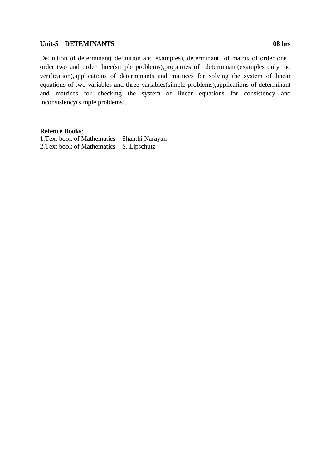#### **Unit-5 DETEMINANTS 08 hrs**

Definition of determinant( definition and examples), determinant of matrix of order one , order two and order three(simple problems),properties of determinant(examples only, no verification),applications of determinants and matrices for solving the system of linear equations of two variables and three variables(simple problems),applications of determinant and matrices for checking the system of linear equations for consistency and inconsistency(simple problems).

#### **Refence Books**:

1.Text book of Mathematics – Shanthi Narayan 2.Text book of Mathematics – S. Lipschutz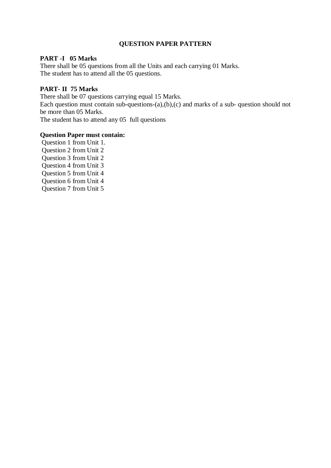#### **QUESTION PAPER PATTERN**

#### **PART -I 05 Marks**

There shall be 05 questions from all the Units and each carrying 01 Marks. The student has to attend all the 05 questions.

#### **PART- II 75 Marks**

There shall be 07 questions carrying equal 15 Marks.

Each question must contain sub-questions- $(a)$ , $(b)$ , $(c)$  and marks of a sub-question should not be more than 05 Marks.

The student has to attend any 05 full questions

#### **Question Paper must contain:**

 Question 1 from Unit 1. Question 2 from Unit 2 Question 3 from Unit 2 Question 4 from Unit 3 Question 5 from Unit 4 Question 6 from Unit 4 Question 7 from Unit 5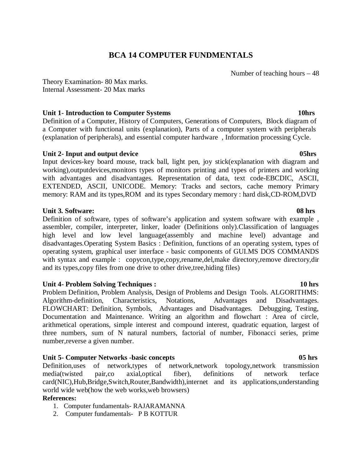### **BCA 14 COMPUTER FUNDMENTALS**

Number of teaching hours – 48

Theory Examination- 80 Max marks. Internal Assessment- 20 Max marks

#### Unit 1- Introduction to Computer Systems **10hrs** 10hrs

Definition of a Computer, History of Computers, Generations of Computers, Block diagram of a Computer with functional units (explanation), Parts of a computer system with peripherals (explanation of peripherals), and essential computer hardware , Information processing Cycle.

#### Unit 2- Input and output device **05hrs** 05hrs

Input devices-key board mouse, track ball, light pen, joy stick(explanation with diagram and working),outputdevices,monitors types of monitors printing and types of printers and working with advantages and disadvantages. Representation of data, text code-EBCDIC, ASCII, EXTENDED, ASCII, UNICODE. Memory: Tracks and sectors, cache memory Primary memory: RAM and its types,ROM and its types Secondary memory : hard disk,CD-ROM,DVD

#### **Unit 3. Software: 08 hrs**

Definition of software, types of software's application and system software with example , assembler, compiler, interpreter, linker, loader (Definitions only).Classification of languages high level and low level language(assembly and machine level) advantage and disadvantages.Operating System Basics : Definition, functions of an operating system, types of operating system, graphical user interface - basic components of GUI.MS DOS COMMANDS with syntax and example : copycon,type,copy,rename,del,make directory,remove directory,dir and its types,copy files from one drive to other drive,tree,hiding files)

### **Unit 4- Problem Solving Techniques : 10 hrs**

Problem Definition, Problem Analysis, Design of Problems and Design Tools. ALGORITHMS: Algorithm-definition, Characteristics, Notations, Advantages and Disadvantages. FLOWCHART: Definition, Symbols, Advantages and Disadvantages. Debugging, Testing, Documentation and Maintenance. Writing an algorithm and flowchart : Area of circle, arithmetical operations, simple interest and compound interest, quadratic equation, largest of three numbers, sum of N natural numbers, factorial of number, Fibonacci series, prime number,reverse a given number.

### Unit 5- Computer Networks -basic concepts 05 hrs **05 hrs**

Definition,uses of network,types of network,network topology,network transmission media(twisted pair,co axial,optical fiber), definitions of network terface card(NIC),Hub,Bridge,Switch,Router,Bandwidth),internet and its applications,understanding world wide web(how the web works,web browsers)

### **References:**

- 1. Computer fundamentals- RAJARAMANNA
- 2. Computer fundamentals- P B KOTTUR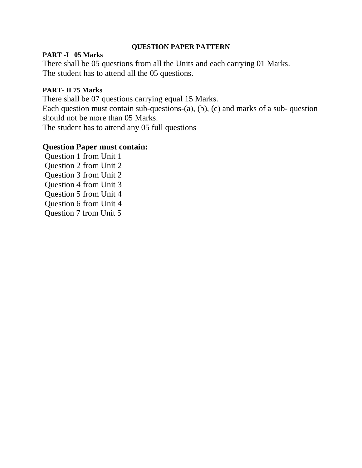### **QUESTION PAPER PATTERN**

### **PART -I 05 Marks**

There shall be 05 questions from all the Units and each carrying 01 Marks. The student has to attend all the 05 questions.

### **PART- II 75 Marks**

There shall be 07 questions carrying equal 15 Marks.

Each question must contain sub-questions-(a), (b), (c) and marks of a sub- question should not be more than 05 Marks.

The student has to attend any 05 full questions

### **Question Paper must contain:**

 Question 1 from Unit 1 Question 2 from Unit 2 Question 3 from Unit 2 Question 4 from Unit 3 Question 5 from Unit 4 Question 6 from Unit 4 Question 7 from Unit 5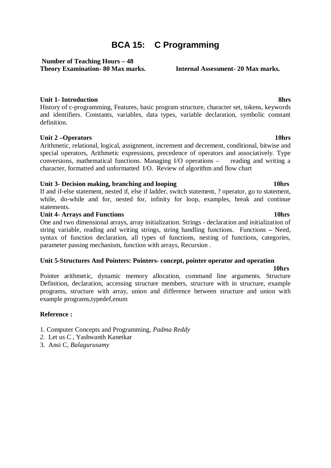# **BCA 15: C Programming**

#### **Number of Teaching Hours – 48 Theory Examination- 80 Max marks. Internal Assessment- 20 Max marks.**

#### **Unit 1- Introduction 8hrs**

History of c-programming, Features, basic program structure, character set, tokens, keywords and identifiers. Constants, variables, data types, variable declaration, symbolic constant definition.

#### Unit 2 – Operators 10hrs

Arithmetic, relational, logical, assignment, increment and decrement, conditional, bitwise and special operators, Arithmetic expressions, precedence of operators and associatively. Type conversions, mathematical functions. Managing I/O operations – reading and writing a character, formatted and unformatted I/O. Review of algorithm and flow chart

#### **Unit 3- Decision making, branching and looping 10hrs 10hrs 10hrs 10hrs 10hrs 10hrs 10hrs 10hrs 10hrs 10hrs 10hrs 10hrs 10hrs 10hrs 10hrs 10hrs 10hrs 10hrs 10hrs 10hrs 10hrs 10hrs 10hrs 10hrs 10hrs 10hrs 10hrs 10hrs 10hrs**

If and if-else statement, nested if, else if ladder, switch statement, ? operator, go to statement, while, do-while and for, nested for, infinity for loop, examples, break and continue statements.

#### **Unit 4- Arrays and Functions 10hrs 10hrs 10hrs 10hrs 10hrs 10hrs 10hrs 10hrs 10hrs 10hrs 10hrs 10hrs 10hrs 10hrs 10hrs 10hrs 10hrs 10hrs 10hrs 10hrs 10hrs 10hrs 10hrs 10hrs 10hrs 10hrs 10hrs 10hrs 10hrs 10hrs 10hrs 10hrs**

One and two dimensional arrays, array initialization. Strings - declaration and initialization of string variable, reading and writing strings, string handling functions. Functions **–** Need, syntax of function declaration, all types of functions, nesting of functions, categories, parameter passing mechanism, function with arrays, Recursion .

#### **Unit 5-Structures And Pointers: Pointers- concept, pointer operator and operation**

 **10hrs**  Pointer arithmetic, dynamic memory allocation, command line arguments. Structure Definition, declaration, accessing structure members, structure with in structure, example programs, structure with array, union and difference between structure and union with example programs,typedef,enum

### **Reference :**

- 1. Computer Concepts and Programming, *Padma Reddy*
- *2.* Let us C , Yashwanth Kanetkar
- 3. Ansi C, *Balagurusamy*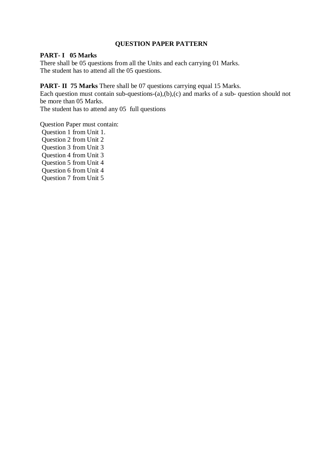#### **QUESTION PAPER PATTERN**

#### **PART- I 05 Marks**

There shall be 05 questions from all the Units and each carrying 01 Marks. The student has to attend all the 05 questions.

#### **PART- II 75 Marks** There shall be 07 questions carrying equal 15 Marks.

Each question must contain sub-questions- $(a)$ , $(b)$ , $(c)$  and marks of a sub-question should not be more than 05 Marks.

The student has to attend any 05 full questions

Question Paper must contain:

 Question 1 from Unit 1. Question 2 from Unit 2 Question 3 from Unit 3 Question 4 from Unit 3 Question 5 from Unit 4 Question 6 from Unit 4 Question 7 from Unit 5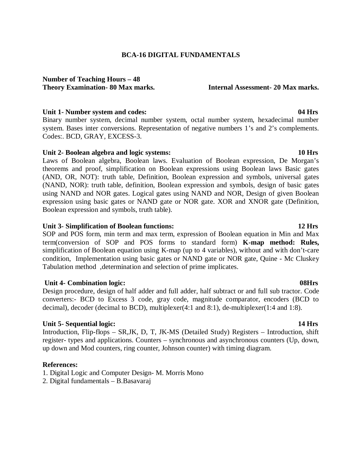#### **BCA-16 DIGITAL FUNDAMENTALS**

#### **Number of Teaching Hours – 48 Theory Examination- 80 Max marks. Internal Assessment- 20 Max marks.**

#### **Unit 1- Number system and codes: 04 Hrs**

Binary number system, decimal number system, octal number system, hexadecimal number system. Bases inter conversions. Representation of negative numbers 1's and 2's complements. Codes:. BCD, GRAY, EXCESS-3.

#### **Unit 2- Boolean algebra and logic systems: 10 Hrs**

Laws of Boolean algebra, Boolean laws. Evaluation of Boolean expression, De Morgan's theorems and proof, simplification on Boolean expressions using Boolean laws Basic gates (AND, OR, NOT): truth table, Definition, Boolean expression and symbols, universal gates (NAND, NOR): truth table, definition, Boolean expression and symbols, design of basic gates using NAND and NOR gates. Logical gates using NAND and NOR, Design of given Boolean expression using basic gates or NAND gate or NOR gate. XOR and XNOR gate (Definition, Boolean expression and symbols, truth table).

#### **Unit 3- Simplification of Boolean functions: 12 Hrs**

SOP and POS form, min term and max term, expression of Boolean equation in Min and Max term(conversion of SOP and POS forms to standard form) **K-map method: Rules,** simplification of Boolean equation using K-map (up to 4 variables), without and with don't-care condition, Implementation using basic gates or NAND gate or NOR gate, Quine - Mc Cluskey Tabulation method,determination and selection of prime implicates.

#### *Unit 4- Combination logic:* **08Hrs <b>08Hrs**

Design procedure, design of half adder and full adder, half subtract or and full sub tractor. Code converters:- BCD to Excess 3 code, gray code, magnitude comparator, encoders (BCD to decimal), decoder (decimal to BCD), multiplexer(4:1 and 8:1), de-multiplexer(1:4 and 1:8).

#### **Unit 5- Sequential logic: 14 Hrs**

Introduction, Flip-flops – SR,JK, D, T, JK-MS (Detailed Study) Registers – Introduction, shift register- types and applications. Counters – synchronous and asynchronous counters (Up, down, up down and Mod counters, ring counter, Johnson counter) with timing diagram.

#### **References:**

1. Digital Logic and Computer Design- M. Morris Mono

2. Digital fundamentals – B.Basavaraj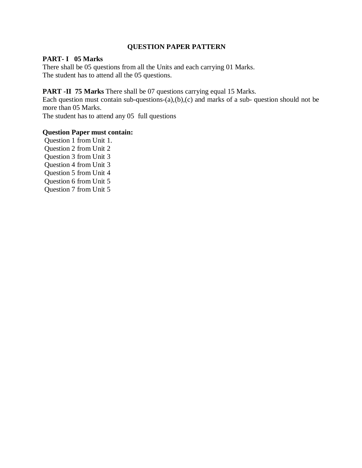#### **QUESTION PAPER PATTERN**

### **PART- I 05 Marks**

There shall be 05 questions from all the Units and each carrying 01 Marks. The student has to attend all the 05 questions.

#### **PART -II 75 Marks** There shall be 07 questions carrying equal 15 Marks.

Each question must contain sub-questions- $(a)$ , $(b)$ , $(c)$  and marks of a sub-question should not be more than 05 Marks.

The student has to attend any 05 full questions

#### **Question Paper must contain:**

 Question 1 from Unit 1. Question 2 from Unit 2 Question 3 from Unit 3 Question 4 from Unit 3 Question 5 from Unit 4 Question 6 from Unit 5 Question 7 from Unit 5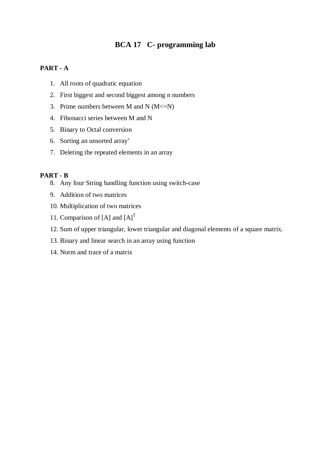# **BCA 17 C- programming lab**

### **PART - A**

- 1. All roots of quadratic equation
- 2. First biggest and second biggest among n numbers
- 3. Prime numbers between M and N  $(M \le N)$
- 4. Fibonacci series between M and N
- 5. Binary to Octal conversion
- 6. Sorting an unsorted array'
- 7. Deleting the repeated elements in an array

#### **PART - B**

- 8. Any four String handling function using switch-case
- 9. Addition of two matrices
- 10. Multiplication of two matrices
- 11. Comparison of  $[A]$  and  $[A]$ <sup>T</sup>
- 12. Sum of upper triangular, lower triangular and diagonal elements of a square matrix.
- 13. Binary and linear search in an array using function
- 14. Norm and trace of a matrix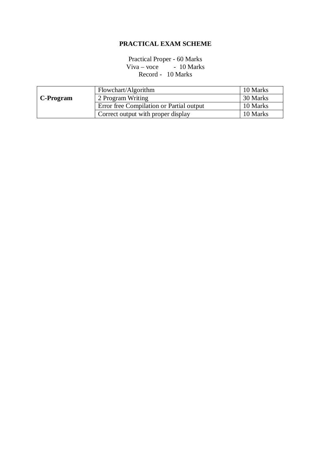### **PRACTICAL EXAM SCHEME**

Practical Proper - 60 Marks  $Viva - voce - 10 Marks$ Record - 10 Marks

|           | Flowchart/Algorithm                      | 10 Marks |
|-----------|------------------------------------------|----------|
| C-Program | 2 Program Writing                        | 30 Marks |
|           | Error free Compilation or Partial output | 10 Marks |
|           | Correct output with proper display       | 10 Marks |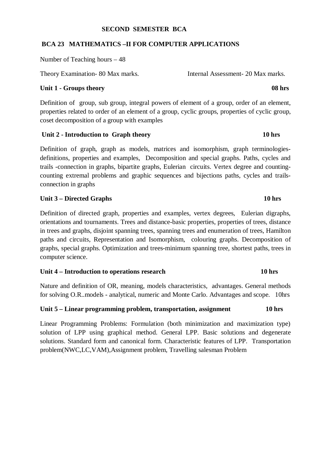### **SECOND SEMESTER BCA**

### **BCA 23 MATHEMATICS –II FOR COMPUTER APPLICATIONS**

Number of Teaching hours – 48

Theory Examination- 80 Max marks. Internal Assessment- 20 Max marks.

### Unit 1 - Groups theory 08 hrs **08 hrs**

Definition of group, sub group, integral powers of element of a group, order of an element, properties related to order of an element of a group, cyclic groups, properties of cyclic group, coset decomposition of a group with examples

### *Unit 2* **- Introduction to Graph theory 10 hrs**

Definition of graph, graph as models, matrices and isomorphism, graph terminologiesdefinitions, properties and examples, Decomposition and special graphs. Paths, cycles and trails -connection in graphs, bipartite graphs, Eulerian circuits. Vertex degree and countingcounting extremal problems and graphic sequences and bijections paths, cycles and trailsconnection in graphs

### **Unit 3 – Directed Graphs 10 hrs**

Definition of directed graph, properties and examples, vertex degrees, Eulerian digraphs, orientations and tournaments. Trees and distance-basic properties, properties of trees, distance in trees and graphs, disjoint spanning trees, spanning trees and enumeration of trees, Hamilton paths and circuits, Representation and Isomorphism, colouring graphs. Decomposition of graphs, special graphs. Optimization and trees-minimum spanning tree, shortest paths, trees in computer science.

#### Unit 4 – Introduction to operations research 10 hrs

Nature and definition of OR, meaning, models characteristics, advantages. General methods for solving O.R..models - analytical, numeric and Monte Carlo. Advantages and scope. 10hrs

#### **Unit 5 – Linear programming problem, transportation, assignment 10 hrs**

Linear Programming Problems: Formulation (both minimization and maximization type) solution of LPP using graphical method. General LPP. Basic solutions and degenerate solutions. Standard form and canonical form. Characteristic features of LPP. Transportation problem(NWC,LC,VAM),Assignment problem, Travelling salesman Problem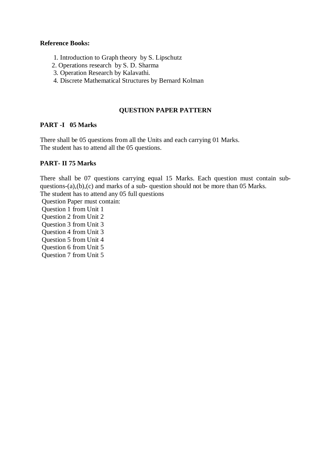#### **Reference Books:**

- 1. Introduction to Graph theory by S. Lipschutz
- 2. Operations research by S. D. Sharma
- 3. Operation Research by Kalavathi.
- 4. Discrete Mathematical Structures by Bernard Kolman

### **QUESTION PAPER PATTERN**

### **PART -I 05 Marks**

There shall be 05 questions from all the Units and each carrying 01 Marks. The student has to attend all the 05 questions.

### **PART- II 75 Marks**

There shall be 07 questions carrying equal 15 Marks. Each question must contain subquestions-(a),(b),(c) and marks of a sub- question should not be more than 05 Marks.

The student has to attend any 05 full questions

Question Paper must contain:

 Question 1 from Unit 1 Question 2 from Unit 2 Question 3 from Unit 3 Question 4 from Unit 3 Question 5 from Unit 4

 Question 6 from Unit 5 Question 7 from Unit 5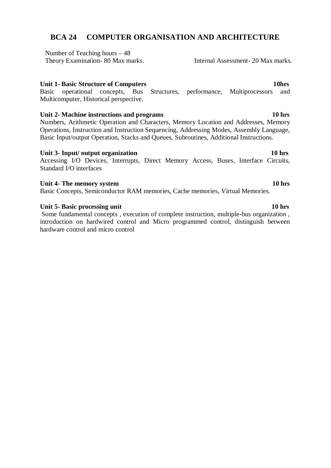### **BCA 24 COMPUTER ORGANISATION AND ARCHITECTURE**

Number of Teaching hours – 48

Theory Examination- 80 Max marks.<br>Internal Assessment- 20 Max marks.

### **Unit 1- Basic Structure of Computers 10hrs 10hrs 10hrs**

 Basic operational concepts, Bus Structures, performance, Multiprocessors and Multicomputer, Historical perspective.

### Unit 2- Machine instructions and programs **10** hrs

Numbers, Arithmetic Operation and Characters, Memory Location and Addresses, Memory Operations, Instruction and Instruction Sequencing, Addressing Modes, Assembly Language, Basic Input/output Operation, Stacks and Queues, Subroutines, Additional Instructions.

### Unit 3- Input/ output organization 10 hrs

Accessing I/O Devices, Interrupts, Direct Memory Access, Buses, Interface Circuits, Standard I/O interfaces

### Unit 4- The memory system **10** hrs **10** hrs **10** hrs **10** hrs **10** hrs **10** hrs **10** hrs **10** hrs **10** hrs **10** hrs **10** hrs **10** hrs **10** hrs **10** hrs **10** hrs **10** hrs **10** hrs **10** hrs **10** hrs **10** hrs **10** hrs **10** hr

Basic Concepts, Semiconductor RAM memories, Cache memories, Virtual Memories.

### **Unit 5- Basic processing unit 10 hrs**

Some fundamental concepts , execution of complete instruction, multiple-bus organization , introduction on hardwired control and Micro programmed control, distinguish between hardware control and micro control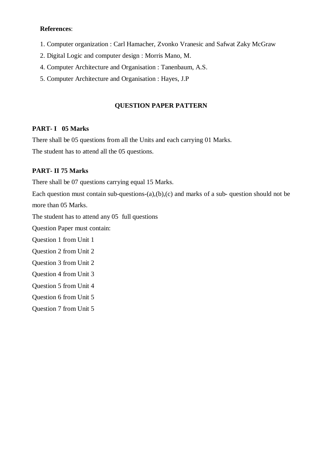#### **References**:

- 1. Computer organization : Carl Hamacher, Zvonko Vranesic and Safwat Zaky McGraw
- 2. Digital Logic and computer design : Morris Mano, M.
- 4. Computer Architecture and Organisation : Tanenbaum, A.S.
- 5. Computer Architecture and Organisation : Hayes, J.P

#### **QUESTION PAPER PATTERN**

#### **PART- I 05 Marks**

There shall be 05 questions from all the Units and each carrying 01 Marks.

The student has to attend all the 05 questions.

#### **PART- II 75 Marks**

There shall be 07 questions carrying equal 15 Marks.

Each question must contain sub-questions- $(a)$ , $(b)$ , $(c)$  and marks of a sub-question should not be more than 05 Marks.

The student has to attend any 05 full questions

Question Paper must contain:

Question 1 from Unit 1

- Question 2 from Unit 2
- Question 3 from Unit 2
- Question 4 from Unit 3
- Question 5 from Unit 4

Question 6 from Unit 5

Question 7 from Unit 5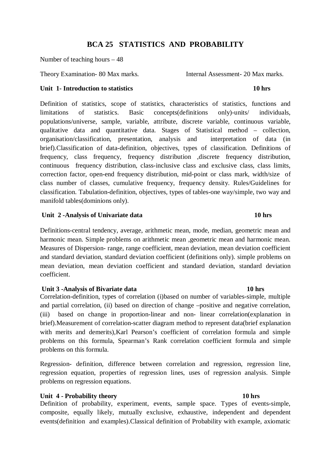### **BCA 25 STATISTICS AND PROBABILITY**

Number of teaching hours – 48

Theory Examination- 80 Max marks. Internal Assessment- 20 Max marks.

#### Unit 1- Introduction to statistics 10 hrs

Definition of statistics, scope of statistics, characteristics of statistics, functions and limitations of statistics. Basic concepts(definitions only)-units/ individuals, populations/universe, sample, variable, attribute, discrete variable, continuous variable, qualitative data and quantitative data. Stages of Statistical method – collection, organisation/classification, presentation, analysis and interpretation of data (in brief).Classification of data-definition, objectives, types of classification. Definitions of frequency, class frequency, frequency distribution ,discrete frequency distribution, continuous frequency distribution, class-inclusive class and exclusive class, class limits, correction factor, open-end frequency distribution, mid-point or class mark, width/size of class number of classes, cumulative frequency, frequency density. Rules/Guidelines for classification. Tabulation-definition, objectives, types of tables-one way/simple, two way and manifold tables(dominions only).

#### *Unit 2 -Analysis of Univariate data* **10 hrs <b>10 hrs**

Definitions-central tendency, average, arithmetic mean, mode, median, geometric mean and harmonic mean. Simple problems on arithmetic mean ,geometric mean and harmonic mean. Measures of Dispersion- range, range coefficient, mean deviation, mean deviation coefficient and standard deviation, standard deviation coefficient (definitions only). simple problems on mean deviation, mean deviation coefficient and standard deviation, standard deviation coefficient.

#### **Unit 3 -Analysis of Bivariate data** 10 hrs **10 hrs**

Correlation-definition, types of correlation (i)based on number of variables-simple, multiple and partial correlation, (ii) based on direction of change –positive and negative correlation, (iii) based on change in proportion-linear and non- linear correlation(explanation in brief).Measurement of correlation-scatter diagram method to represent data(brief explanation with merits and demerits), Karl Pearson's coefficient of correlation formula and simple problems on this formula, Spearman's Rank correlation coefficient formula and simple problems on this formula.

Regression- definition, difference between correlation and regression, regression line, regression equation, properties of regression lines, uses of regression analysis. Simple problems on regression equations.

#### **Unit 4 - Probability theory 10 hrs**  10 hrs **10 hrs**

Definition of probability, experiment, events, sample space. Types of events-simple, composite, equally likely, mutually exclusive, exhaustive, independent and dependent events(definition and examples).Classical definition of Probability with example, axiomatic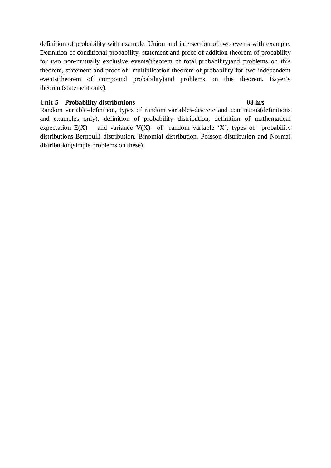definition of probability with example. Union and intersection of two events with example. Definition of conditional probability, statement and proof of addition theorem of probability for two non-mutually exclusive events(theorem of total probability)and problems on this theorem, statement and proof of multiplication theorem of probability for two independent events(theorem of compound probability)and problems on this theorem. Bayer's theorem(statement only).

#### Unit-5 Probability distributions 08 hrs **08 hrs**

Random variable-definition, types of random variables-discrete and continuous(definitions and examples only), definition of probability distribution, definition of mathematical expectation  $E(X)$  and variance  $V(X)$  of random variable 'X', types of probability distributions-Bernoulli distribution, Binomial distribution, Poisson distribution and Normal distribution(simple problems on these).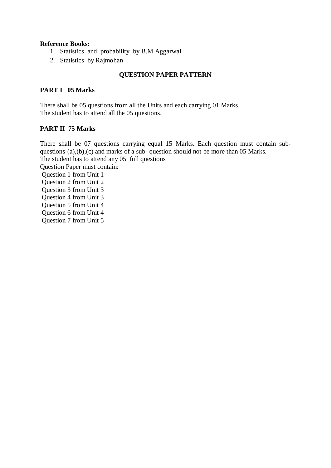### **Reference Books:**

- 1. Statistics and probability by B.M Aggarwal
- 2. Statistics by Rajmohan

### **QUESTION PAPER PATTERN**

### **PART I 05 Marks**

There shall be 05 questions from all the Units and each carrying 01 Marks. The student has to attend all the 05 questions.

### **PART II 75 Marks**

There shall be 07 questions carrying equal 15 Marks. Each question must contain subquestions-(a),(b),(c) and marks of a sub- question should not be more than 05 Marks. The student has to attend any 05 full questions Question Paper must contain: Question 1 from Unit 1 Question 2 from Unit 2 Question 3 from Unit 3 Question 4 from Unit 3 Question 5 from Unit 4 Question 6 from Unit 4 Question 7 from Unit 5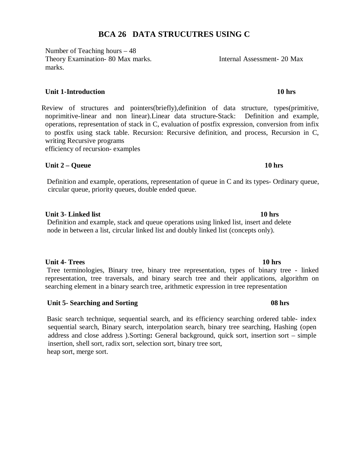### **BCA 26 DATA STRUCUTRES USING C**

Number of Teaching hours – 48 Theory Examination- 80 Max marks. Internal Assessment- 20 Max marks.

### **Unit 1-Introduction 10 hrs**

 Review of structures and pointers(briefly),definition of data structure, types(primitive, noprimitive-linear and non linear).Linear data structure-Stack: Definition and example, operations, representation of stack in C, evaluation of postfix expression, conversion from infix to postfix using stack table. Recursion: Recursive definition, and process, Recursion in C, writing Recursive programs

efficiency of recursion- examples

### Unit 2 – Queue 10 hrs **10 hrs**

 Definition and example, operations, representation of queue in C and its types- Ordinary queue, circular queue, priority queues, double ended queue.

### **Unit 3- Linked list** 10 hrs **10 hrs 10 hrs**

 Definition and example, stack and queue operations using linked list, insert and delete node in between a list, circular linked list and doubly linked list (concepts only).

### **Unit 4- Trees 10 hrs**

 Tree terminologies, Binary tree, binary tree representation, types of binary tree - linked representation, tree traversals, and binary search tree and their applications, algorithm on searching element in a binary search tree, arithmetic expression in tree representation

### Unit 5- Searching and Sorting 08 hrs **08 hrs**

Basic search technique, sequential search, and its efficiency searching ordered table- index sequential search, Binary search, interpolation search, binary tree searching, Hashing (open address and close address ).Sorting**:** General background, quick sort, insertion sort – simple insertion, shell sort, radix sort, selection sort, binary tree sort, heap sort, merge sort.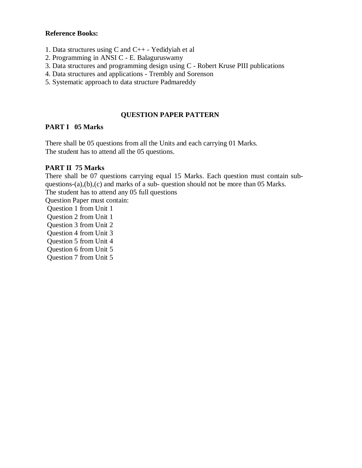#### **Reference Books:**

- 1. Data structures using C and C++ Yedidyiah et al
- 2. Programming in ANSI C E. Balaguruswamy
- 3. Data structures and programming design using C Robert Kruse PIII publications
- 4. Data structures and applications Trembly and Sorenson
- 5. Systematic approach to data structure Padmareddy

### **QUESTION PAPER PATTERN**

#### **PART I 05 Marks**

There shall be 05 questions from all the Units and each carrying 01 Marks. The student has to attend all the 05 questions.

#### **PART II 75 Marks**

There shall be 07 questions carrying equal 15 Marks. Each question must contain subquestions-(a),(b),(c) and marks of a sub- question should not be more than 05 Marks. The student has to attend any 05 full questions

Question Paper must contain:

- Question 1 from Unit 1
- Question 2 from Unit 1
- Question 3 from Unit 2

Question 4 from Unit 3

Question 5 from Unit 4

Question 6 from Unit 5

Question 7 from Unit 5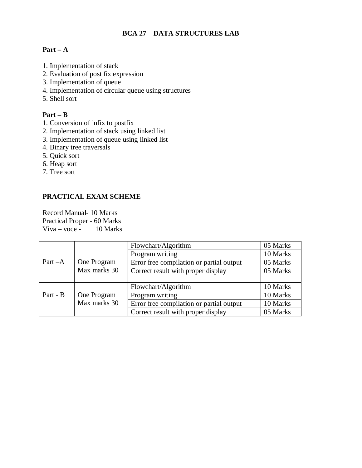### **BCA 27 DATA STRUCTURES LAB**

### **Part – A**

- 1. Implementation of stack
- 2. Evaluation of post fix expression
- 3. Implementation of queue
- 4. Implementation of circular queue using structures
- 5. Shell sort

### **Part – B**

- 1. Conversion of infix to postfix
- 2. Implementation of stack using linked list
- 3. Implementation of queue using linked list
- 4. Binary tree traversals
- 5. Quick sort
- 6. Heap sort
- 7. Tree sort

### **PRACTICAL EXAM SCHEME**

Record Manual- 10 Marks Practical Proper - 60 Marks Viva – voce - 10 Marks

|           |              | Flowchart/Algorithm                      | 05 Marks |
|-----------|--------------|------------------------------------------|----------|
|           |              | Program writing                          | 10 Marks |
| Part $-A$ | One Program  | Error free compilation or partial output | 05 Marks |
|           | Max marks 30 | Correct result with proper display       | 05 Marks |
|           |              |                                          |          |
|           |              | Flowchart/Algorithm                      | 10 Marks |
| Part - B  | One Program  | Program writing                          | 10 Marks |
|           | Max marks 30 | Error free compilation or partial output | 10 Marks |
|           |              | Correct result with proper display       | 05 Marks |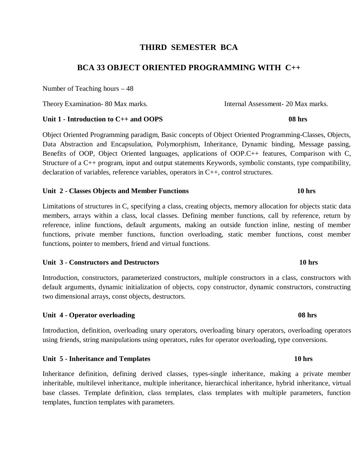### **THIRD SEMESTER BCA**

### **BCA 33 OBJECT ORIENTED PROGRAMMING WITH C++**

Number of Teaching hours – 48

Theory Examination- 80 Max marks. Internal Assessment- 20 Max marks.

#### Unit 1 - Introduction to C++ and OOPS 08 hrs

Object Oriented Programming paradigm, Basic concepts of Object Oriented Programming-Classes, Objects, Data Abstraction and Encapsulation, Polymorphism, Inheritance, Dynamic binding, Message passing, Benefits of OOP, Object Oriented languages, applications of OOP.C++ features, Comparison with C, Structure of a C++ program, input and output statements Keywords, symbolic constants, type compatibility, declaration of variables, reference variables, operators in C++, control structures.

#### Unit 2 - Classes Objects and Member Functions **10 hrs**

Limitations of structures in C, specifying a class, creating objects, memory allocation for objects static data members, arrays within a class, local classes. Defining member functions, call by reference, return by reference, inline functions, default arguments, making an outside function inline, nesting of member functions, private member functions, function overloading, static member functions, const member functions, pointer to members, friend and virtual functions.

#### **Unit 3 - Constructors and Destructors 10 hrs**

Introduction, constructors, parameterized constructors, multiple constructors in a class, constructors with default arguments, dynamic initialization of objects, copy constructor, dynamic constructors, constructing two dimensional arrays, const objects, destructors.

#### Unit 4 - Operator overloading 08 hrs **08 hrs**

Introduction, definition, overloading unary operators, overloading binary operators, overloading operators using friends, string manipulations using operators, rules for operator overloading, type conversions.

Unit 5 - Inheritance and Templates 10 hrs **10** hrs **10** hrs

Inheritance definition, defining derived classes, types-single inheritance, making a private member inheritable, multilevel inheritance, multiple inheritance, hierarchical inheritance, hybrid inheritance, virtual base classes. Template definition, class templates, class templates with multiple parameters, function templates, function templates with parameters.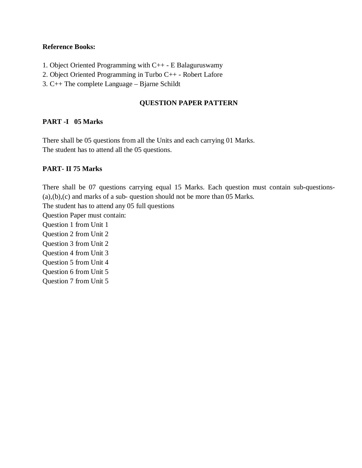#### **Reference Books:**

- 1. Object Oriented Programming with C++ E Balaguruswamy
- 2. Object Oriented Programming in Turbo C++ Robert Lafore
- 3. C++ The complete Language Bjarne Schildt

### **QUESTION PAPER PATTERN**

### **PART -I 05 Marks**

There shall be 05 questions from all the Units and each carrying 01 Marks. The student has to attend all the 05 questions.

### **PART- II 75 Marks**

There shall be 07 questions carrying equal 15 Marks. Each question must contain sub-questions- (a),(b),(c) and marks of a sub- question should not be more than 05 Marks. The student has to attend any 05 full questions Question Paper must contain: Question 1 from Unit 1 Question 2 from Unit 2 Question 3 from Unit 2 Question 4 from Unit 3 Question 5 from Unit 4 Question 6 from Unit 5 Question 7 from Unit 5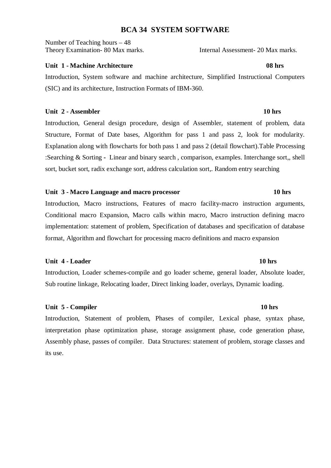### **BCA 34 SYSTEM SOFTWARE**

Number of Teaching hours – 48 Theory Examination- 80 Max marks.<br>Internal Assessment- 20 Max marks.

#### **Unit 1 - Machine Architecture 08 hrs**

Introduction, System software and machine architecture, Simplified Instructional Computers (SIC) and its architecture, Instruction Formats of IBM-360.

#### **Unit 2 - Assembler 10 hrs**  10 hrs **10 hrs**

Introduction, General design procedure, design of Assembler, statement of problem, data Structure, Format of Date bases, Algorithm for pass 1 and pass 2, look for modularity. Explanation along with flowcharts for both pass 1 and pass 2 (detail flowchart).Table Processing :Searching & Sorting **-** Linear and binary search , comparison, examples. Interchange sort,, shell sort, bucket sort, radix exchange sort, address calculation sort,. Random entry searching

#### **Unit 3 - Macro Language and macro processor 10 hrs**

Introduction, Macro instructions, Features of macro facility-macro instruction arguments, Conditional macro Expansion, Macro calls within macro, Macro instruction defining macro implementation: statement of problem, Specification of databases and specification of database format, Algorithm and flowchart for processing macro definitions and macro expansion

#### **Unit 4 - Loader 10 hrs**  10 hrs **10 hrs**  10 hrs **10 hrs**  10 hrs **10 hrs**  10 hrs **10 hrs**  10 hrs **10 hrs**  10 hrs **10 hrs**  10 hrs **10 hrs**  10 hrs **10 hrs**  10 hrs **10 hrs**  10 hrs **10 hrs**  10 hrs **10 hrs**  10 hrs **1**

Introduction, Loader schemes-compile and go loader scheme, general loader, Absolute loader, Sub routine linkage, Relocating loader, Direct linking loader, overlays, Dynamic loading.

#### **Unit 5 - Compiler 10 hrs**  10 hrs

Introduction, Statement of problem, Phases of compiler, Lexical phase, syntax phase, interpretation phase optimization phase, storage assignment phase, code generation phase, Assembly phase, passes of compiler. Data Structures: statement of problem, storage classes and its use.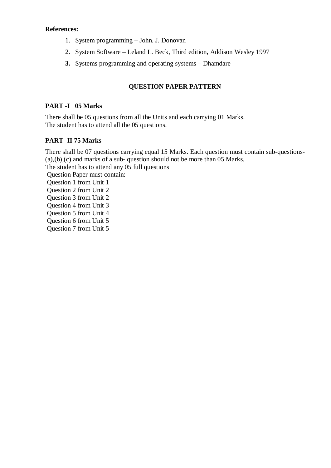#### **References:**

- 1. System programming John. J. Donovan
- 2. System Software Leland L. Beck, Third edition, Addison Wesley 1997
- **3.** Systems programming and operating systems Dhamdare

### **QUESTION PAPER PATTERN**

#### **PART -I 05 Marks**

There shall be 05 questions from all the Units and each carrying 01 Marks. The student has to attend all the 05 questions.

### **PART- II 75 Marks**

There shall be 07 questions carrying equal 15 Marks. Each question must contain sub-questions- (a),(b),(c) and marks of a sub- question should not be more than 05 Marks. The student has to attend any 05 full questions Question Paper must contain: Question 1 from Unit 1 Question 2 from Unit 2 Question 3 from Unit 2 Question 4 from Unit 3 Question 5 from Unit 4 Question 6 from Unit 5 Question 7 from Unit 5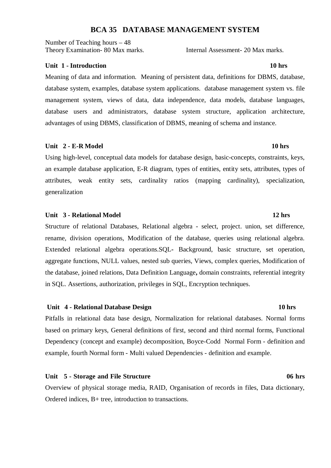### **BCA 35 DATABASE MANAGEMENT SYSTEM**

Number of Teaching hours – 48 Theory Examination- 80 Max marks. Internal Assessment- 20 Max marks.

#### **Unit 1 - Introduction 10 hrs 3.1 and 3.1 and 3.1 and 3.1 and 3.1 and 3.1 and 3.1 and 3.1 and 3.1 and 3.1 and 3.1 and 3.1 and 3.1 and 3.1 and 3.1 and 3.1 and 3.1 and 3.1 and 3.1 and 3.1 and 3.1 and 3.1 and 3.1 and 3.1 and**

Meaning of data and information. Meaning of persistent data, definitions for DBMS, database, database system, examples, database system applications. database management system vs. file management system, views of data, data independence, data models, database languages, database users and administrators, database system structure, application architecture, advantages of using DBMS, classification of DBMS, meaning of schema and instance.

#### **Unit 2 - E-R Model 10 hrs**  10 hrs **10 hrs 10 hrs**

Using high-level, conceptual data models for database design, basic-concepts, constraints, keys, an example database application, E-R diagram, types of entities, entity sets, attributes, types of attributes, weak entity sets, cardinality ratios (mapping cardinality), specialization, generalization

#### Unit 3 - Relational Model **12 hrs 12 hrs**

Structure of relational Databases, Relational algebra - select, project. union, set difference, rename, division operations, Modification of the database, queries using relational algebra. Extended relational algebra operations.SQL**-** Background, basic structure, set operation, aggregate functions, NULL values, nested sub queries, Views, complex queries, Modification of the database, joined relations, Data Definition Language**,** domain constraints, referential integrity in SQL. Assertions, authorization, privileges in SQL, Encryption techniques.

#### **Unit 4 - Relational Database Design 10 hrs**

Pitfalls in relational data base design, Normalization for relational databases. Normal forms based on primary keys, General definitions of first, second and third normal forms, Functional Dependency (concept and example) decomposition, Boyce-Codd Normal Form - definition and example, fourth Normal form - Multi valued Dependencies - definition and example.

#### Unit 5 - Storage and File Structure **06 hrs** 06 hrs

Overview of physical storage media, RAID, Organisation of records in files, Data dictionary, Ordered indices, B+ tree, introduction to transactions.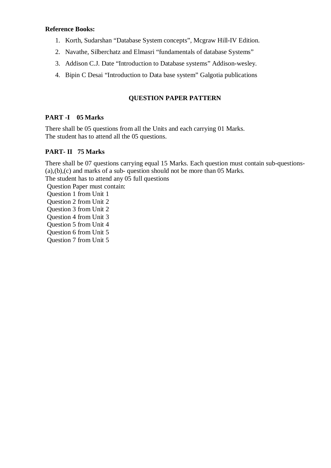## **Reference Books:**

- 1. Korth, Sudarshan "Database System concepts", Mcgraw Hill-IV Edition.
- 2. Navathe, Silberchatz and Elmasri "fundamentals of database Systems"
- 3. Addison C.J. Date "Introduction to Database systems" Addison-wesley.
- 4. Bipin C Desai "Introduction to Data base system" Galgotia publications

# **QUESTION PAPER PATTERN**

## **PART -I 05 Marks**

There shall be 05 questions from all the Units and each carrying 01 Marks. The student has to attend all the 05 questions.

## **PART- II 75 Marks**

There shall be 07 questions carrying equal 15 Marks. Each question must contain sub-questions- (a),(b),(c) and marks of a sub- question should not be more than 05 Marks.

The student has to attend any 05 full questions Question Paper must contain:

- Question 1 from Unit 1
- Question 2 from Unit 2
- Question 3 from Unit 2
- Question 4 from Unit 3
- Question 5 from Unit 4
- Question 6 from Unit 5
- Question 7 from Unit 5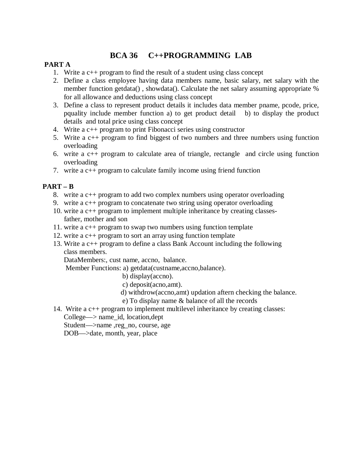# **BCA 36 C++PROGRAMMING LAB**

## **PART A**

- 1. Write a c++ program to find the result of a student using class concept
- 2. Define a class employee having data members name, basic salary, net salary with the member function getdata() , showdata(). Calculate the net salary assuming appropriate % for all allowance and deductions using class concept
- 3. Define a class to represent product details it includes data member pname, pcode, price, pquality include member function a) to get product detail b) to display the product details and total price using class concept
- 4. Write a c++ program to print Fibonacci series using constructor
- 5. Write a c++ program to find biggest of two numbers and three numbers using function overloading
- 6. write a c++ program to calculate area of triangle, rectangle and circle using function overloading
- 7. write a c++ program to calculate family income using friend function

## **PART – B**

- 8. write a c++ program to add two complex numbers using operator overloading
- 9. write a c++ program to concatenate two string using operator overloading
- 10. write a c++ program to implement multiple inheritance by creating classes father, mother and son
- 11. write a c++ program to swap two numbers using function template
- 12. write a c++ program to sort an array using function template
- 13. Write a c++ program to define a class Bank Account including the following class members.

DataMembers:, cust name, accno, balance.

Member Functions: a) getdata(custname,accno,balance).

- b) display(accno).
- c) deposit(acno,amt).
- d) withdrow(accno,amt) updation aftern checking the balance.
- e) To display name & balance of all the records
- 14. Write a c++ program to implement multilevel inheritance by creating classes: College—> name\_id, location,dept

Student—>name ,reg\_no, course, age

DOB—>date, month, year, place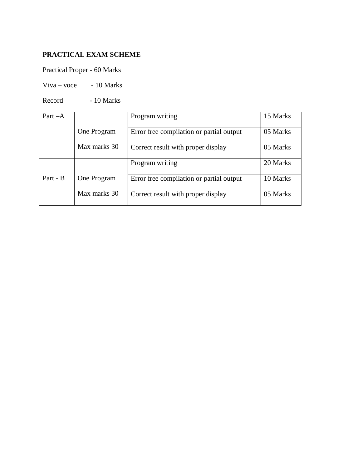# **PRACTICAL EXAM SCHEME**

Practical Proper - 60 Marks

 $Viva - voce - 10 Marks$ 

Record - 10 Marks

| Part $-A$ |              | Program writing                          | 15 Marks |
|-----------|--------------|------------------------------------------|----------|
|           | One Program  | Error free compilation or partial output | 05 Marks |
|           | Max marks 30 | Correct result with proper display       | 05 Marks |
|           |              | Program writing                          | 20 Marks |
| Part - B  | One Program  | Error free compilation or partial output | 10 Marks |
|           | Max marks 30 | Correct result with proper display       | 05 Marks |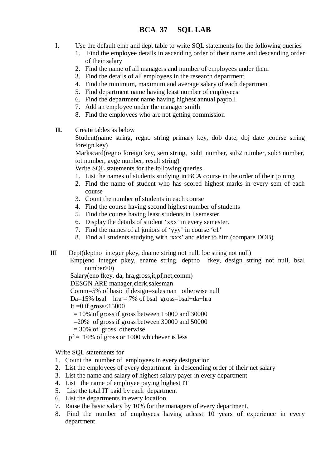- I. Use the default emp and dept table to write SQL statements for the following queries
	- 1. Find the employee details in ascending order of their name and descending order of their salary
	- 2. Find the name of all managers and number of employees under them
	- 3. Find the details of all employees in the research department
	- 4. Find the minimum, maximum and average salary of each department
	- 5. Find department name having least number of employees
	- 6. Find the department name having highest annual payroll
	- 7. Add an employee under the manager smith
	- 8. Find the employees who are not getting commission
- **II.** Creat**e** tables as below

Student(name string, regno string primary key, dob date, doj date ,course string foreign key)

Markscard(regno foreign key, sem string, sub1 number, sub2 number, sub3 number, tot number, avge number, result string)

Write SQL statements for the following queries.

- 1. List the names of students studying in BCA course in the order of their joining
- 2. Find the name of student who has scored highest marks in every sem of each course
- 3. Count the number of students in each course
- 4. Find the course having second highest number of students
- 5. Find the course having least students in I semester
- 6. Display the details of student 'xxx' in every semester.
- 7. Find the names of al juniors of 'yyy' in course 'c1'
- 8. Find all students studying with 'xxx' and elder to him (compare DOB)
- III Dept(deptno integer pkey, dname string not null, loc string not null)
	- Emp(eno integer pkey, ename string, deptno fkey, design string not null, bsal number>0)

Salary(eno fkey, da, hra,gross,it,pf,net,comm)

DESGN ARE manager,clerk,salesman

Comm=5% of basic if design=salesman otherwise null

Da=15% bsal  $hra = 7%$  of bsal gross=bsal+da+hra

It  $=0$  if gross  $< 15000$ 

- $= 10\%$  of gross if gross between 15000 and 30000
- =20% of gross if gross between 30000 and 50000
- $= 30\%$  of gross otherwise
- $pf = 10\%$  of gross or 1000 whichever is less

Write SQL statements for

- 1. Count the number of employees in every designation
- 2. List the employees of every department in descending order of their net salary
- 3. List the name and salary of highest salary payer in every department
- 4. List the name of employee paying highest IT
- 5. List the total IT paid by each department
- 6. List the departments in every location
- 7. Raise the basic salary by 10% for the managers of every department.
- 8. Find the number of employees having atleast 10 years of experience in every department.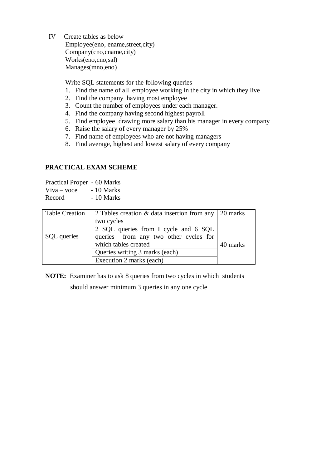IV Create tables as below

Employee(eno, ename,street,city) Company(cno,cname,city) Works(eno,cno,sal) Manages(mno,eno)

Write SQL statements for the following queries

- 1. Find the name of all employee working in the city in which they live
- 2. Find the company having most employee
- 3. Count the number of employees under each manager.
- 4. Find the company having second highest payroll
- 5. Find employee drawing more salary than his manager in every company
- 6. Raise the salary of every manager by 25%
- 7. Find name of employees who are not having managers
- 8. Find average, highest and lowest salary of every company

## **PRACTICAL EXAM SCHEME**

Practical Proper - 60 Marks  $Viva - voce$  - 10 Marks Record - 10 Marks

| <b>Table Creation</b> | 2 Tables creation $\&$ data insertion from any 20 marks                                               |          |
|-----------------------|-------------------------------------------------------------------------------------------------------|----------|
|                       | two cycles                                                                                            |          |
| SQL queries           | 2 SQL queries from I cycle and 6 SQL<br>queries from any two other cycles for<br>which tables created | 40 marks |
|                       | Queries writing 3 marks (each)                                                                        |          |
|                       | Execution 2 marks (each)                                                                              |          |

**NOTE:** Examiner has to ask 8 queries from two cycles in which students should answer minimum 3 queries in any one cycle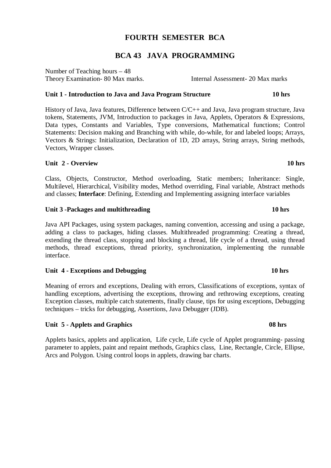# **FOURTH SEMESTER BCA**

# **BCA 43 JAVA PROGRAMMING**

Number of Teaching hours – 48 Theory Examination- 80 Max marks. Internal Assessment- 20 Max marks

## **Unit 1 - Introduction to Java and Java Program Structure 10 hrs**

History of Java, Java features, Difference between C/C++ and Java, Java program structure, Java tokens, Statements, JVM, Introduction to packages in Java, Applets, Operators & Expressions, Data types, Constants and Variables, Type conversions, Mathematical functions; Control Statements: Decision making and Branching with while, do-while, for and labeled loops; Arrays, Vectors & Strings: Initialization, Declaration of 1D, 2D arrays, String arrays, String methods, Vectors, Wrapper classes.

## **Unit 2 - Overview 10 hrs**

Class, Objects, Constructor, Method overloading, Static members; Inheritance: Single, Multilevel, Hierarchical, Visibility modes, Method overriding, Final variable, Abstract methods and classes; **Interface**: Defining, Extending and Implementing assigning interface variables

## Unit 3 -Packages and multithreading **10 hrs 10 hrs**

Java API Packages, using system packages, naming convention, accessing and using a package, adding a class to packages, hiding classes. Multithreaded programming: Creating a thread, extending the thread class, stopping and blocking a thread, life cycle of a thread, using thread methods, thread exceptions, thread priority, synchronization, implementing the runnable interface.

## Unit 4 - Exceptions and Debugging 10 hrs **10** hrs

Meaning of errors and exceptions, Dealing with errors, Classifications of exceptions, syntax of handling exceptions, advertising the exceptions, throwing and rethrowing exceptions, creating Exception classes, multiple catch statements, finally clause, tips for using exceptions, Debugging techniques – tricks for debugging, Assertions, Java Debugger (JDB).

## **Unit 5 - Applets and Graphics 08 hrs**

Applets basics, applets and application, Life cycle, Life cycle of Applet programming- passing parameter to applets, paint and repaint methods, Graphics class, Line, Rectangle, Circle, Ellipse, Arcs and Polygon. Using control loops in applets, drawing bar charts.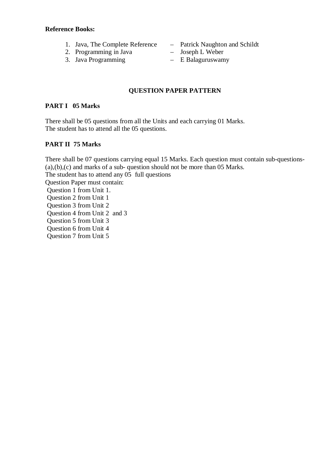### **Reference Books:**

- 1. Java, The Complete Reference Patrick Naughton and Schildt
- 2. Programming in Java Joseph L Weber
- 3. Java Programming E Balaguruswamy
- 
- -

## **QUESTION PAPER PATTERN**

## **PART I 05 Marks**

There shall be 05 questions from all the Units and each carrying 01 Marks. The student has to attend all the 05 questions.

## **PART II 75 Marks**

There shall be 07 questions carrying equal 15 Marks. Each question must contain sub-questions- (a),(b),(c) and marks of a sub- question should not be more than 05 Marks. The student has to attend any 05 full questions Question Paper must contain: Question 1 from Unit 1. Question 2 from Unit 1 Question 3 from Unit 2 Question 4 from Unit 2 and 3 Question 5 from Unit 3 Question 6 from Unit 4 Question 7 from Unit 5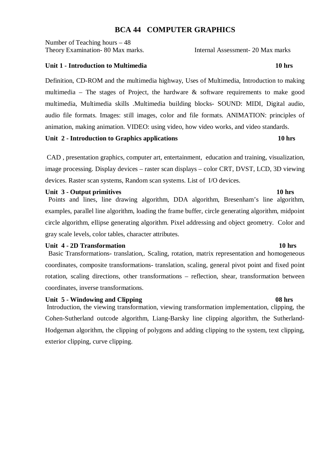## **BCA 44 COMPUTER GRAPHICS**

Number of Teaching hours – 48 Theory Examination- 80 Max marks. Internal Assessment- 20 Max marks

### **Unit 1 - Introduction to Multimedia 10 hrs** 10 hrs

Definition, CD-ROM and the multimedia highway, Uses of Multimedia, Introduction to making multimedia – The stages of Project, the hardware  $\&$  software requirements to make good multimedia, Multimedia skills .Multimedia building blocks- SOUND: MIDI, Digital audio, audio file formats. Images: still images, color and file formats. ANIMATION: principles of animation, making animation. VIDEO: using video, how video works, and video standards.

Unit 2 - Introduction to Graphics applications **10 hrs** 

 CAD , presentation graphics, computer art, entertainment, education and training, visualization, image processing. Display devices – raster scan displays – color CRT, DVST, LCD, 3D viewing devices. Raster scan systems, Random scan systems. List of I/O devices.

### Unit 3 - Output primitives 10 hrs **10 hrs**

 Points and lines, line drawing algorithm, DDA algorithm, Bresenham's line algorithm, examples, parallel line algorithm, loading the frame buffer, circle generating algorithm, midpoint circle algorithm, ellipse generating algorithm. Pixel addressing and object geometry. Color and gray scale levels, color tables, character attributes.

### **Unit 4 - 2D Transformation** 10 hrs **10 hrs 10 hrs**

 Basic Transformations- translation,. Scaling, rotation, matrix representation and homogeneous coordinates, composite transformations- translation, scaling, general pivot point and fixed point rotation, scaling directions, other transformations – reflection, shear, transformation between coordinates, inverse transformations.

### Unit 5 - Windowing and Clipping **08 hrs 08 hrs 08 hrs**

 Introduction, the viewing transformation, viewing transformation implementation, clipping, the Cohen-Sutherland outcode algorithm, Liang-Barsky line clipping algorithm, the Sutherland-Hodgeman algorithm, the clipping of polygons and adding clipping to the system, text clipping, exterior clipping, curve clipping.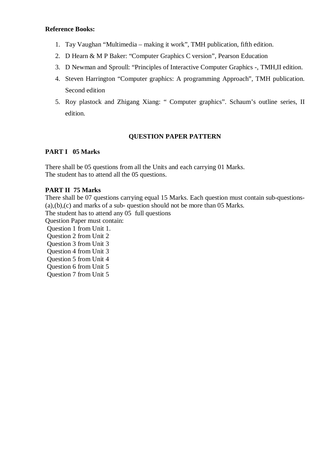### **Reference Books:**

- 1. Tay Vaughan "Multimedia making it work", TMH publication, fifth edition.
- 2. D Hearn & M P Baker: "Computer Graphics C version", Pearson Education
- 3. D Newman and Sproull: "Principles of Interactive Computer Graphics -, TMH,II edition.
- 4. Steven Harrington "Computer graphics: A programming Approach", TMH publication. Second edition
- 5. Roy plastock and Zhigang Xiang: " Computer graphics". Schaum's outline series, II edition.

## **QUESTION PAPER PATTERN**

## **PART I 05 Marks**

There shall be 05 questions from all the Units and each carrying 01 Marks. The student has to attend all the 05 questions.

## **PART II 75 Marks**

There shall be 07 questions carrying equal 15 Marks. Each question must contain sub-questions- (a),(b),(c) and marks of a sub- question should not be more than 05 Marks.

The student has to attend any 05 full questions

Question Paper must contain:

Question 1 from Unit 1.

Question 2 from Unit 2

Question 3 from Unit 3

Question 4 from Unit 3

Question 5 from Unit 4

Question 6 from Unit 5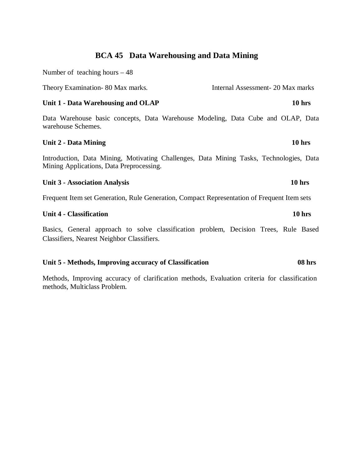# **BCA 45 Data Warehousing and Data Mining**

Number of teaching hours – 48

Theory Examination- 80 Max marks. Internal Assessment- 20 Max marks

### Unit 1 - Data Warehousing and OLAP 10 hrs

Data Warehouse basic concepts, Data Warehouse Modeling, Data Cube and OLAP, Data warehouse Schemes.

### **Unit 2 - Data Mining 10 hrs**

Introduction, Data Mining, Motivating Challenges, Data Mining Tasks, Technologies, Data Mining Applications, Data Preprocessing.

### **Unit 3 - Association Analysis 10 hrs**

Frequent Item set Generation, Rule Generation, Compact Representation of Frequent Item sets

### **Unit 4 - Classification 10 hrs**

Basics, General approach to solve classification problem, Decision Trees, Rule Based Classifiers, Nearest Neighbor Classifiers.

### **Unit 5 - Methods, Improving accuracy of Classification 08 hrs**

Methods, Improving accuracy of clarification methods, Evaluation criteria for classification methods, Multiclass Problem.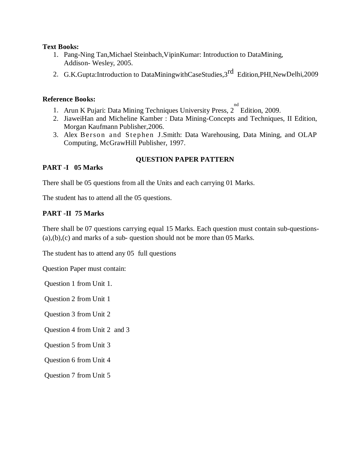### **Text Books:**

- 1. Pang-Ning Tan,Michael Steinbach,VipinKumar: Introduction to DataMining, Addison- Wesley, 2005.
- 2. G.K.Gupta:Introduction to DataMiningwithCaseStudies,3<sup>rd</sup> Edition,PHI,NewDelhi,2009

## **Reference Books:**

- 1. Arun K Pujari: Data Mining Techniques University Press, 2 Edition, 2009.
- 2. JiaweiHan and Micheline Kamber : Data Mining-Concepts and Techniques, II Edition, Morgan Kaufmann Publisher,2006.
- 3. Alex Berson and Stephen J.Smith: Data Warehousing, Data Mining, and OLAP Computing, McGrawHill Publisher, 1997.

## **PART -I 05 Marks**

## **QUESTION PAPER PATTERN**

There shall be 05 questions from all the Units and each carrying 01 Marks.

The student has to attend all the 05 questions.

## **PART -II 75 Marks**

There shall be 07 questions carrying equal 15 Marks. Each question must contain sub-questions- (a),(b),(c) and marks of a sub- question should not be more than 05 Marks.

The student has to attend any 05 full questions

Question Paper must contain:

Question 1 from Unit 1.

Question 2 from Unit 1

Question 3 from Unit 2

Question 4 from Unit 2 and 3

Question 5 from Unit 3

Question 6 from Unit 4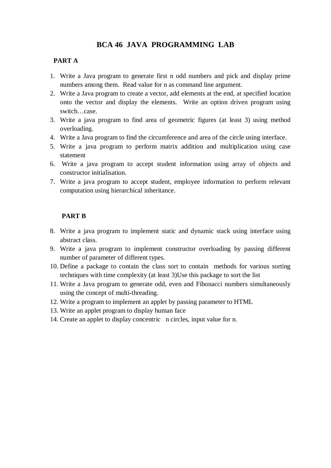# **BCA 46 JAVA PROGRAMMING LAB**

## **PART A**

- 1. Write a Java program to generate first n odd numbers and pick and display prime numbers among them. Read value for n as command line argument.
- 2. Write a Java program to create a vector, add elements at the end, at specified location onto the vector and display the elements. Write an option driven program using switch…case.
- 3. Write a java program to find area of geometric figures (at least 3) using method overloading.
- 4. Write a Java program to find the circumference and area of the circle using interface.
- 5. Write a java program to perform matrix addition and multiplication using case statement
- 6. Write a java program to accept student information using array of objects and constructor initialisation.
- 7. Write a java program to accept student, employee information to perform relevant computation using hierarchical inheritance.

## **PART B**

- 8. Write a java program to implement static and dynamic stack using interface using abstract class.
- 9. Write a java program to implement constructor overloading by passing different number of parameter of different types.
- 10. Define a package to contain the class sort to contain methods for various sorting techniques with time complexity (at least 3)Use this package to sort the list
- 11. Write a Java program to generate odd, even and Fibonacci numbers simultaneously using the concept of multi-threading.
- 12. Write a program to implement an applet by passing parameter to HTML
- 13. Write an applet program to display human face
- 14. Create an applet to display concentric n circles, input value for n.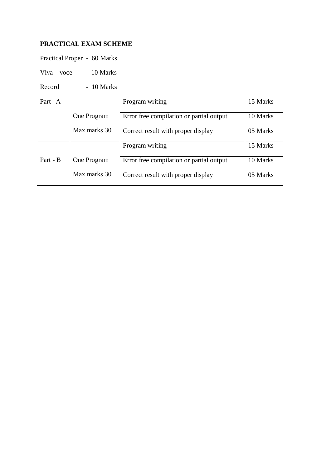# **PRACTICAL EXAM SCHEME**

Practical Proper - 60 Marks

 $Viva - voce - 10 Marks$ 

Record - 10 Marks

| $Part-A$ |              | Program writing                          | 15 Marks |
|----------|--------------|------------------------------------------|----------|
|          |              |                                          |          |
|          | One Program  | Error free compilation or partial output | 10 Marks |
|          |              |                                          |          |
|          | Max marks 30 | Correct result with proper display       | 05 Marks |
|          |              |                                          |          |
|          |              | Program writing                          | 15 Marks |
|          |              |                                          |          |
| Part - B | One Program  | Error free compilation or partial output | 10 Marks |
|          |              |                                          |          |
|          | Max marks 30 | Correct result with proper display       | 05 Marks |
|          |              |                                          |          |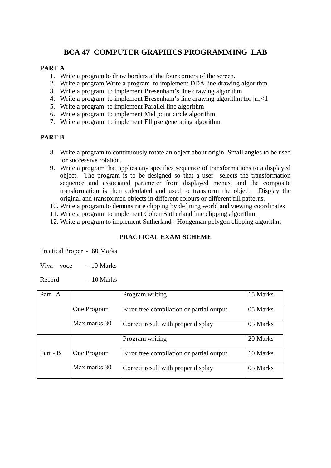# **BCA 47 COMPUTER GRAPHICS PROGRAMMING LAB**

## **PART A**

- 1. Write a program to draw borders at the four corners of the screen.
- 2. Write a program Write a program to implement DDA line drawing algorithm
- 3. Write a program to implement Bresenham's line drawing algorithm
- 4. Write a program to implement Bresenham's line drawing algorithm for |m|<1
- 5. Write a program to implement Parallel line algorithm
- 6. Write a program to implement Mid point circle algorithm
- 7. Write a program to implement Ellipse generating algorithm

### **PART B**

- 8. Write a program to continuously rotate an object about origin. Small angles to be used for successive rotation.
- 9. Write a program that applies any specifies sequence of transformations to a displayed object. The program is to be designed so that a user selects the transformation sequence and associated parameter from displayed menus, and the composite transformation is then calculated and used to transform the object. Display the original and transformed objects in different colours or different fill patterns.
- 10. Write a program to demonstrate clipping by defining world and viewing coordinates
- 11. Write a program to implement Cohen Sutherland line clipping algorithm
- 12. Write a program to implement Sutherland Hodgeman polygon clipping algorithm

## **PRACTICAL EXAM SCHEME**

Practical Proper - 60 Marks

 $V<sub>i</sub>va – voce = 10 Marks$ 

Record - 10 Marks

| $Part - A$ |              | Program writing                          | 15 Marks |
|------------|--------------|------------------------------------------|----------|
|            |              |                                          |          |
|            | One Program  | Error free compilation or partial output | 05 Marks |
|            |              |                                          |          |
|            | Max marks 30 | Correct result with proper display       | 05 Marks |
|            |              |                                          |          |
|            |              | Program writing                          | 20 Marks |
|            |              |                                          |          |
| Part - B   | One Program  | Error free compilation or partial output | 10 Marks |
|            |              |                                          |          |
|            | Max marks 30 | Correct result with proper display       | 05 Marks |
|            |              |                                          |          |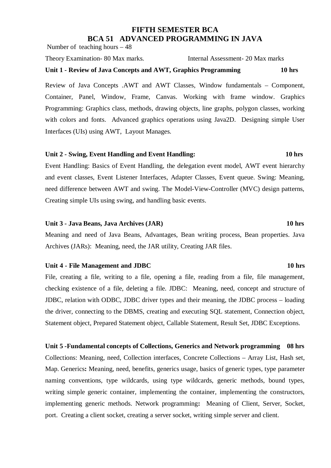# **FIFTH SEMESTER BCA BCA 51 ADVANCED PROGRAMMING IN JAVA**

Number of teaching hours – 48

Theory Examination- 80 Max marks. Internal Assessment- 20 Max marks

## **Unit 1 - Review of Java Concepts and AWT, Graphics Programming 10 hrs**

Review of Java Concepts .AWT and AWT Classes, Window fundamentals – Component, Container, Panel, Window, Frame, Canvas. Working with frame window. Graphics Programming: Graphics class, methods, drawing objects, line graphs, polygon classes, working with colors and fonts. Advanced graphics operations using Java2D. Designing simple User Interfaces (UIs) using AWT, Layout Manages.

## **Unit 2 - Swing, Event Handling and Event Handling: 10 hrs**

Event Handling: Basics of Event Handling, the delegation event model, AWT event hierarchy and event classes, Event Listener Interfaces, Adapter Classes, Event queue. Swing: Meaning, need difference between AWT and swing. The Model-View-Controller (MVC) design patterns, Creating simple UIs using swing, and handling basic events.

## **Unit 3 - Java Beans, Java Archives (JAR) 10 hrs**

Meaning and need of Java Beans, Advantages, Bean writing process, Bean properties. Java Archives (JARs): Meaning, need, the JAR utility, Creating JAR files.

## Unit 4 - File Management and JDBC 10 hrs **10 hrs**

File, creating a file, writing to a file, opening a file, reading from a file, file management, checking existence of a file, deleting a file. JDBC: Meaning, need, concept and structure of JDBC, relation with ODBC, JDBC driver types and their meaning, the JDBC process – loading the driver, connecting to the DBMS, creating and executing SQL statement, Connection object, Statement object, Prepared Statement object, Callable Statement, Result Set, JDBC Exceptions.

**Unit 5 -Fundamental concepts of Collections, Generics and Network programming 08 hrs**  Collections: Meaning, need, Collection interfaces, Concrete Collections – Array List, Hash set, Map. Generics**:** Meaning, need, benefits, generics usage, basics of generic types, type parameter naming conventions, type wildcards, using type wildcards, generic methods, bound types, writing simple generic container, implementing the container, implementing the constructors, implementing generic methods. Network programming**:** Meaning of Client, Server, Socket, port. Creating a client socket, creating a server socket, writing simple server and client.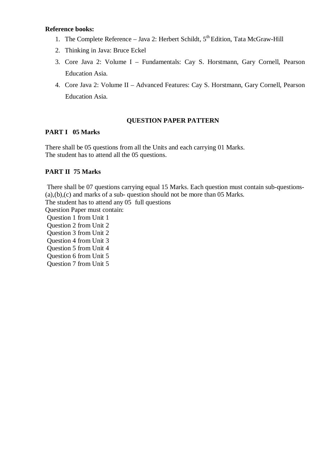### **Reference books:**

- 1. The Complete Reference Java 2: Herbert Schildt,  $5<sup>th</sup>$  Edition, Tata McGraw-Hill
- 2. Thinking in Java: Bruce Eckel
- 3. Core Java 2: Volume I Fundamentals: Cay S. Horstmann, Gary Cornell, Pearson Education Asia.
- 4. Core Java 2: Volume II Advanced Features: Cay S. Horstmann, Gary Cornell, Pearson Education Asia.

### **QUESTION PAPER PATTERN**

## **PART I 05 Marks**

There shall be 05 questions from all the Units and each carrying 01 Marks. The student has to attend all the 05 questions.

## **PART II 75 Marks**

 There shall be 07 questions carrying equal 15 Marks. Each question must contain sub-questions- (a),(b),(c) and marks of a sub- question should not be more than 05 Marks.

The student has to attend any 05 full questions

Question Paper must contain:

 Question 1 from Unit 1 Question 2 from Unit 2 Question 3 from Unit 2

Question 4 from Unit 3

Question 5 from Unit 4

Question 6 from Unit 5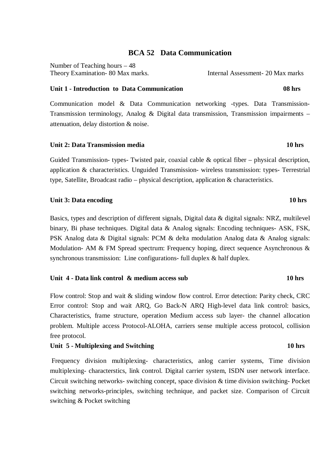## **BCA 52 Data Communication**

Number of Teaching hours – 48 Theory Examination- 80 Max marks. Internal Assessment- 20 Max marks

### **Unit 1 - Introduction to Data Communication 08 hrs**

Communication model & Data Communication networking -types. Data Transmission-Transmission terminology, Analog & Digital data transmission, Transmission impairments – attenuation, delay distortion & noise.

### **Unit 2: Data Transmission media 10 hrs**

Guided Transmission- types- Twisted pair, coaxial cable & optical fiber – physical description, application & characteristics. Unguided Transmission- wireless transmission: types- Terrestrial type, Satellite, Broadcast radio – physical description, application & characteristics.

### **Unit 3: Data encoding 10 hrs**  10 hrs

Basics, types and description of different signals, Digital data & digital signals: NRZ, multilevel binary, Bi phase techniques. Digital data & Analog signals: Encoding techniques- ASK, FSK, PSK Analog data & Digital signals: PCM & delta modulation Analog data & Analog signals: Modulation- AM & FM Spread spectrum: Frequency hoping, direct sequence Asynchronous & synchronous transmission: Line configurations- full duplex & half duplex.

## **Unit 4 - Data link control & medium access sub 10 hrs**

Flow control: Stop and wait & sliding window flow control. Error detection: Parity check, CRC Error control: Stop and wait ARQ, Go Back-N ARQ High-level data link control: basics, Characteristics, frame structure, operation Medium access sub layer- the channel allocation problem. Multiple access Protocol-ALOHA, carriers sense multiple access protocol, collision free protocol.

## Unit 5 - Multiplexing and Switching 10 hrs **10 hrs**

Frequency division multiplexing- characteristics, anlog carrier systems, Time division multiplexing- characterstics, link control. Digital carrier system, ISDN user network interface. Circuit switching networks- switching concept, space division & time division switching- Pocket switching networks-principles, switching technique, and packet size. Comparison of Circuit switching & Pocket switching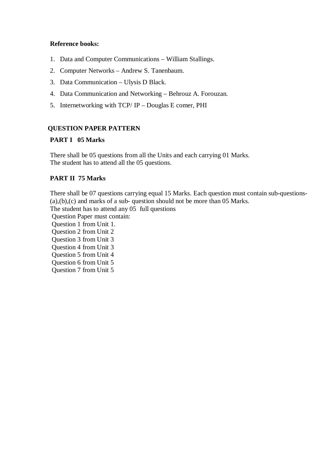## **Reference books:**

- 1. Data and Computer Communications William Stallings.
- 2. Computer Networks Andrew S. Tanenbaum.
- 3. Data Communication Ulysis D Black.
- 4. Data Communication and Networking Behrouz A. Forouzan.
- 5. Internetworking with TCP/ IP Douglas E comer, PHI

## **QUESTION PAPER PATTERN**

## **PART I 05 Marks**

There shall be 05 questions from all the Units and each carrying 01 Marks. The student has to attend all the 05 questions.

## **PART II 75 Marks**

There shall be 07 questions carrying equal 15 Marks. Each question must contain sub-questions- (a),(b),(c) and marks of a sub- question should not be more than 05 Marks.

The student has to attend any 05 full questions

Question Paper must contain:

Question 1 from Unit 1.

 Question 2 from Unit 2 Question 3 from Unit 3

Question 4 from Unit 3

Question 5 from Unit 4

Question 6 from Unit 5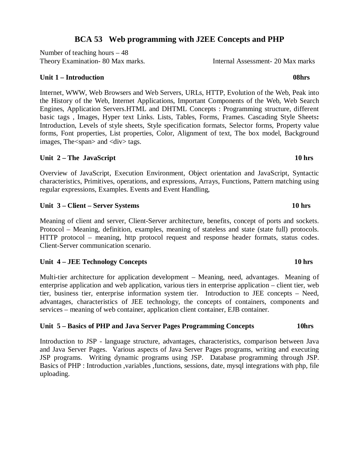# **BCA 53 Web programming with J2EE Concepts and PHP**

Number of teaching hours – 48 Theory Examination- 80 Max marks. Internal Assessment- 20 Max marks

# **Unit 1 – Introduction 08hrs 08hrs 08hrs**

Internet, WWW, Web Browsers and Web Servers, URLs, HTTP, Evolution of the Web, Peak into the History of the Web, Internet Applications, Important Components of the Web, Web Search Engines, Application Servers.HTML and DHTML Concepts : Programming structure, different basic tags , Images, Hyper text Links. Lists, Tables, Forms, Frames. Cascading Style Sheets**:**  Introduction, Levels of style sheets, Style specification formats, Selector forms, Property value forms, Font properties, List properties, Color, Alignment of text, The box model, Background images, The <span> and <div> tags.

# Unit 2 – The JavaScript 10 hrs **10 hrs**

Overview of JavaScript, Execution Environment, Object orientation and JavaScript, Syntactic characteristics, Primitives, operations, and expressions, Arrays, Functions, Pattern matching using regular expressions, Examples. Events and Event Handling,

# **Unit 3 – Client – Server Systems 10 hrs**

Meaning of client and server, Client-Server architecture, benefits, concept of ports and sockets. Protocol – Meaning, definition, examples, meaning of stateless and state (state full) protocols. HTTP protocol – meaning, http protocol request and response header formats, status codes. Client-Server communication scenario.

# Unit 4 – JEE Technology Concepts **10 hrs 10 hrs**

Multi-tier architecture for application development – Meaning, need, advantages. Meaning of enterprise application and web application, various tiers in enterprise application – client tier, web tier, business tier, enterprise information system tier. Introduction to JEE concepts – Need, advantages, characteristics of JEE technology, the concepts of containers, components and services – meaning of web container, application client container, EJB container.

# **Unit 5 – Basics of PHP and Java Server Pages Programming Concepts 10hrs**

Introduction to JSP - language structure, advantages, characteristics, comparison between Java and Java Server Pages. Various aspects of Java Server Pages programs, writing and executing JSP programs. Writing dynamic programs using JSP. Database programming through JSP. Basics of PHP : Introduction ,variables ,functions, sessions, date, mysql integrations with php, file uploading.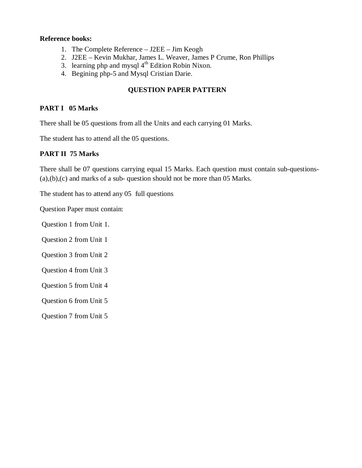## **Reference books:**

- 1. The Complete Reference J2EE Jim Keogh
- 2. J2EE Kevin Mukhar, James L. Weaver, James P Crume, Ron Phillips
- 3. learning php and mysql  $4<sup>th</sup>$  Edition Robin Nixon.
- 4. Begining php-5 and Mysql Cristian Darie.

## **QUESTION PAPER PATTERN**

## **PART I 05 Marks**

There shall be 05 questions from all the Units and each carrying 01 Marks.

The student has to attend all the 05 questions.

## **PART II 75 Marks**

There shall be 07 questions carrying equal 15 Marks. Each question must contain sub-questions- (a),(b),(c) and marks of a sub- question should not be more than 05 Marks.

The student has to attend any 05 full questions

Question Paper must contain:

- Question 1 from Unit 1.
- Question 2 from Unit 1
- Question 3 from Unit 2
- Question 4 from Unit 3
- Question 5 from Unit 4

Question 6 from Unit 5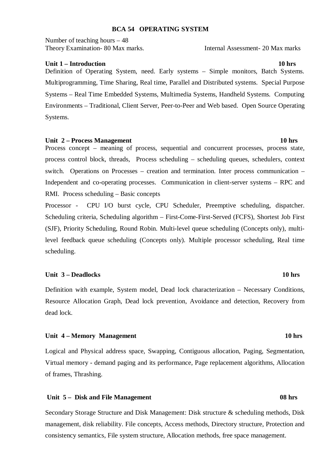### **BCA 54 OPERATING SYSTEM**

Number of teaching hours – 48 Theory Examination- 80 Max marks. Internal Assessment- 20 Max marks

### **Unit 1 – Introduction 10 hrs 3.10 hrs 3.10 hrs 3.10 hrs 3.10 hrs 3.10 hrs 3.10 hrs 3.10 hrs 3.10 hrs 3.10 hrs 3.10 hrs 3.10 hrs 3.10 hrs 3.10 hrs 3.10 hrs 3.10 hrs 3.10 hrs 3.10 hrs 3.10 hrs 3.10 hrs 3.10 hrs 3.10 hrs 3.1**

Definition of Operating System, need. Early systems – Simple monitors, Batch Systems. Multiprogramming, Time Sharing, Real time, Parallel and Distributed systems. Special Purpose Systems – Real Time Embedded Systems, Multimedia Systems, Handheld Systems. Computing Environments – Traditional, Client Server, Peer-to-Peer and Web based. Open Source Operating Systems.

### Unit 2 – Process Management 10 hrs **10 hrs 10 hrs**

Process concept – meaning of process, sequential and concurrent processes, process state, process control block, threads, Process scheduling – scheduling queues, schedulers, context switch. Operations on Processes – creation and termination. Inter process communication – Independent and co-operating processes. Communication in client-server systems – RPC and RMI. Process scheduling – Basic concepts

Processor - CPU I/O burst cycle, CPU Scheduler, Preemptive scheduling, dispatcher. Scheduling criteria, Scheduling algorithm – First-Come-First-Served (FCFS), Shortest Job First (SJF), Priority Scheduling, Round Robin. Multi-level queue scheduling (Concepts only), multilevel feedback queue scheduling (Concepts only). Multiple processor scheduling, Real time scheduling.

### **Unit 3 – Deadlocks 10 hrs**

Definition with example, System model, Dead lock characterization – Necessary Conditions, Resource Allocation Graph, Dead lock prevention, Avoidance and detection, Recovery from dead lock.

### Unit 4 – Memory Management **10 hrs 10 hrs**

Logical and Physical address space, Swapping, Contiguous allocation, Paging, Segmentation, Virtual memory - demand paging and its performance, Page replacement algorithms, Allocation of frames, Thrashing.

### Unit 5 – Disk and File Management 08 hrs **08 hrs**

Secondary Storage Structure and Disk Management: Disk structure & scheduling methods, Disk management, disk reliability. File concepts, Access methods, Directory structure, Protection and consistency semantics, File system structure, Allocation methods, free space management.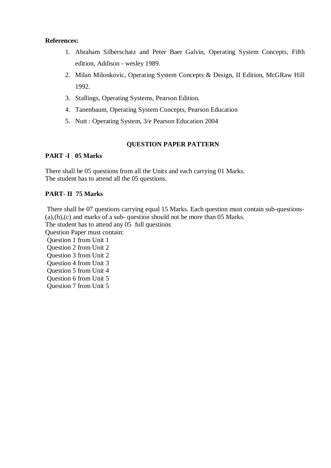### **References:**

- 1. Abraham Silberschatz and Peter Baer Galvin, Operating System Concepts, Fifth edition, Addison - wesley 1989.
- 2. Milan Milonkovic, Operating System Concepts & Design, II Edition, McGRaw Hill 1992.
- 3. Stallings, Operating Systems, Pearson Edition.
- 4. Tanenbaum, Operating System Concepts, Pearson Education
- 5. Nutt : Operating System, 3/e Pearson Education 2004

## **QUESTION PAPER PATTERN**

## **PART -I 05 Marks**

There shall be 05 questions from all the Units and each carrying 01 Marks. The student has to attend all the 05 questions.

## **PART- II 75 Marks**

 There shall be 07 questions carrying equal 15 Marks. Each question must contain sub-questions- (a),(b),(c) and marks of a sub- question should not be more than 05 Marks. The student has to attend any 05 full questions

Question Paper must contain:

 Question 1 from Unit 1 Question 2 from Unit 2 Question 3 from Unit 2

Question 4 from Unit 3

Question 5 from Unit 4

Question 6 from Unit 5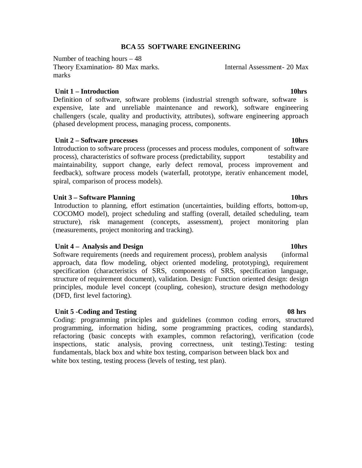### **BCA 55 SOFTWARE ENGINEERING**

Number of teaching hours – 48 Theory Examination- 80 Max marks. Internal Assessment- 20 Max marks

### *Unit 1 – Introduction* 10hrs **10hrs**

Definition of software, software problems (industrial strength software, software is expensive, late and unreliable maintenance and rework), software engineering challengers (scale, quality and productivity, attributes), software engineering approach (phased development process, managing process, components.

### Unit 2 – Software processes **10hrs 10hrs**

Introduction to software process (processes and process modules, component of software process), characteristics of software process (predictability, support testability and maintainability, support change, early defect removal, process improvement and feedback), software process models (waterfall, prototype, iterativ enhancement model, spiral, comparison of process models).

### Unit 3 – Software Planning **10hrs 10hrs**

 Introduction to planning, effort estimation (uncertainties, building efforts, bottom-up, COCOMO model), project scheduling and staffing (overall, detailed scheduling, team structure), risk management (concepts, assessment), project monitoring plan (measurements, project monitoring and tracking).

### **Unit 4 – Analysis and Design 10hrs**  10hrs

Software requirements (needs and requirement process), problem analysis (informal approach, data flow modeling, object oriented modeling, prototyping), requirement specification (characteristics of SRS, components of SRS, specification language, structure of requirement document), validation. Design: Function oriented design: design principles, module level concept (coupling, cohesion), structure design methodology (DFD, first level factoring).

### *Unit 5 -Coding and Testing* **08 hrs 3.000 minutes of the state of the state of the state of the state of the state of the state of the state of the state of the state of the state of the state of the state of the state of**

 Coding: programming principles and guidelines (common coding errors, structured programming, information hiding, some programming practices, coding standards), refactoring (basic concepts with examples, common refactoring), verification (code inspections, static analysis, proving correctness, unit testing).Testing: testing fundamentals, black box and white box testing, comparison between black box and white box testing, testing process (levels of testing, test plan).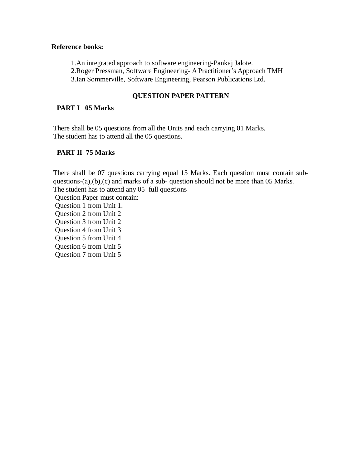## **Reference books:**

 1.An integrated approach to software engineering-Pankaj Jalote. 2.Roger Pressman, Software Engineering- A Practitioner's Approach TMH 3.Ian Sommerville, Software Engineering, Pearson Publications Ltd.

## **QUESTION PAPER PATTERN**

## **PART I 05 Marks**

There shall be 05 questions from all the Units and each carrying 01 Marks. The student has to attend all the 05 questions.

## **PART II 75 Marks**

There shall be 07 questions carrying equal 15 Marks. Each question must contain subquestions-(a),(b),(c) and marks of a sub- question should not be more than 05 Marks. The student has to attend any 05 full questions

Question Paper must contain:

 Question 1 from Unit 1. Question 2 from Unit 2 Question 3 from Unit 2 Question 4 from Unit 3 Question 5 from Unit 4 Question 6 from Unit 5 Question 7 from Unit 5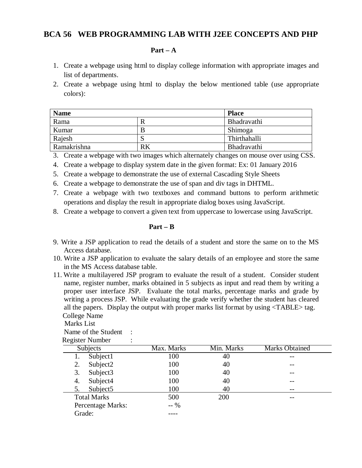## **BCA 56 WEB PROGRAMMING LAB WITH J2EE CONCEPTS AND PHP**

### **Part – A**

- 1. Create a webpage using html to display college information with appropriate images and list of departments.
- 2. Create a webpage using html to display the below mentioned table (use appropriate colors):

| <b>Name</b> |    | <b>Place</b> |
|-------------|----|--------------|
| Rama        |    | Bhadravathi  |
| Kumar       | B  | Shimoga      |
| Rajesh      | N  | Thirthahalli |
| Ramakrishna | RK | Bhadravathi  |

- 3. Create a webpage with two images which alternately changes on mouse over using CSS.
- 4. Create a webpage to display system date in the given format: Ex: 01 January 2016
- 5. Create a webpage to demonstrate the use of external Cascading Style Sheets
- 6. Create a webpage to demonstrate the use of span and div tags in DHTML.
- 7. Create a webpage with two textboxes and command buttons to perform arithmetic operations and display the result in appropriate dialog boxes using JavaScript.
- 8. Create a webpage to convert a given text from uppercase to lowercase using JavaScript.

### **Part – B**

- 9. Write a JSP application to read the details of a student and store the same on to the MS Access database.
- 10. Write a JSP application to evaluate the salary details of an employee and store the same in the MS Access database table.
- 11. Write a multilayered JSP program to evaluate the result of a student. Consider student name, register number, marks obtained in 5 subjects as input and read them by writing a proper user interface JSP. Evaluate the total marks, percentage marks and grade by writing a process JSP. While evaluating the grade verify whether the student has cleared all the papers. Display the output with proper marks list format by using <TABLE> tag. College Name

| Marks List          |  |
|---------------------|--|
| Name of the Student |  |
| Dogietar Number     |  |

| Max. Marks | Min. Marks | <b>Marks Obtained</b> |
|------------|------------|-----------------------|
| 100        | 40         |                       |
| 100        | 40         |                       |
| 100        | 40         |                       |
| 100        | 40         |                       |
| 100        | 40         | --                    |
| 500        | 200        |                       |
| $-96$      |            |                       |
|            |            |                       |
|            |            |                       |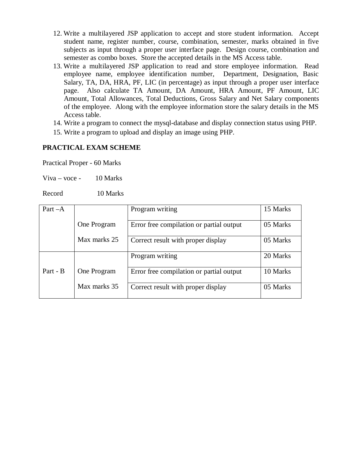- 12. Write a multilayered JSP application to accept and store student information. Accept student name, register number, course, combination, semester, marks obtained in five subjects as input through a proper user interface page. Design course, combination and semester as combo boxes. Store the accepted details in the MS Access table.
- 13. Write a multilayered JSP application to read and store employee information. Read employee name, employee identification number, Department, Designation, Basic Salary, TA, DA, HRA, PF, LIC (in percentage) as input through a proper user interface page. Also calculate TA Amount, DA Amount, HRA Amount, PF Amount, LIC Amount, Total Allowances, Total Deductions, Gross Salary and Net Salary components of the employee. Along with the employee information store the salary details in the MS Access table.
- 14. Write a program to connect the mysql-database and display connection status using PHP.
- 15. Write a program to upload and display an image using PHP.

## **PRACTICAL EXAM SCHEME**

Practical Proper - 60 Marks

Viva – voce -  $10$  Marks

Record 10 Marks

| Part $-A$ |              | Program writing                          | 15 Marks |
|-----------|--------------|------------------------------------------|----------|
|           | One Program  | Error free compilation or partial output | 05 Marks |
|           | Max marks 25 | Correct result with proper display       | 05 Marks |
|           |              | Program writing                          | 20 Marks |
| Part - B  | One Program  | Error free compilation or partial output | 10 Marks |
|           | Max marks 35 | Correct result with proper display       | 05 Marks |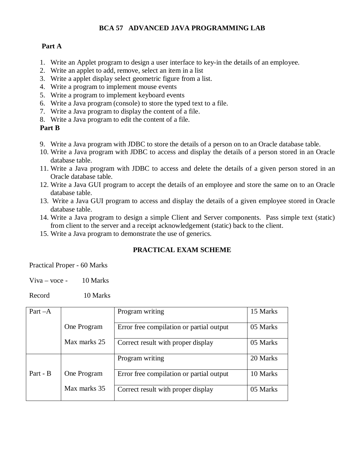## **BCA 57 ADVANCED JAVA PROGRAMMING LAB**

## **Part A**

- 1. Write an Applet program to design a user interface to key-in the details of an employee.
- 2. Write an applet to add, remove, select an item in a list
- 3. Write a applet display select geometric figure from a list.
- 4. Write a program to implement mouse events
- 5. Write a program to implement keyboard events
- 6. Write a Java program (console) to store the typed text to a file.
- 7. Write a Java program to display the content of a file.
- 8. Write a Java program to edit the content of a file.

## **Part B**

- 9. Write a Java program with JDBC to store the details of a person on to an Oracle database table.
- 10. Write a Java program with JDBC to access and display the details of a person stored in an Oracle database table.
- 11. Write a Java program with JDBC to access and delete the details of a given person stored in an Oracle database table.
- 12. Write a Java GUI program to accept the details of an employee and store the same on to an Oracle database table.
- 13. Write a Java GUI program to access and display the details of a given employee stored in Oracle database table.
- 14. Write a Java program to design a simple Client and Server components. Pass simple text (static) from client to the server and a receipt acknowledgement (static) back to the client.
- 15. Write a Java program to demonstrate the use of generics.

## **PRACTICAL EXAM SCHEME**

Practical Proper - 60 Marks

Viva – voce -  $10$  Marks

Record 10 Marks

| Part $-A$ |              | Program writing                          | 15 Marks |
|-----------|--------------|------------------------------------------|----------|
|           | One Program  | Error free compilation or partial output | 05 Marks |
|           | Max marks 25 | Correct result with proper display       | 05 Marks |
|           |              | Program writing                          | 20 Marks |
| Part - B  | One Program  | Error free compilation or partial output | 10 Marks |
|           | Max marks 35 | Correct result with proper display       | 05 Marks |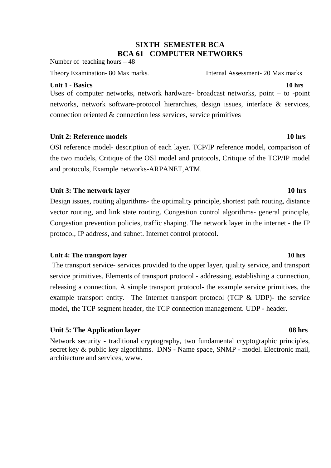# **SIXTH SEMESTER BCA BCA 61 COMPUTER NETWORKS**

Number of teaching hours – 48

Theory Examination- 80 Max marks. Internal Assessment- 20 Max marks

## **Unit 1 - Basics 10 hrs**

Uses of computer networks, network hardware- broadcast networks, point – to -point networks, network software-protocol hierarchies, design issues, interface & services, connection oriented  $&$  connection less services, service primitives

## **Unit 2: Reference models** 10 hrs **10 hrs**

OSI reference model- description of each layer. TCP/IP reference model, comparison of the two models, Critique of the OSI model and protocols, Critique of the TCP/IP model and protocols, Example networks-ARPANET,ATM.

## Unit 3: The network layer 10 hrs

Design issues, routing algorithms- the optimality principle, shortest path routing, distance vector routing, and link state routing. Congestion control algorithms- general principle, Congestion prevention policies, traffic shaping. The network layer in the internet - the IP protocol, IP address, and subnet. Internet control protocol.

## **Unit 4: The transport layer 10 hrs**

The transport service- services provided to the upper layer, quality service, and transport service primitives. Elements of transport protocol - addressing, establishing a connection, releasing a connection. A simple transport protocol- the example service primitives, the example transport entity. The Internet transport protocol (TCP & UDP)- the service model, the TCP segment header, the TCP connection management. UDP - header.

### Unit 5: The Application layer 08 hrs **08 hrs**

Network security - traditional cryptography, two fundamental cryptographic principles, secret key & public key algorithms. DNS - Name space, SNMP - model. Electronic mail, architecture and services, www.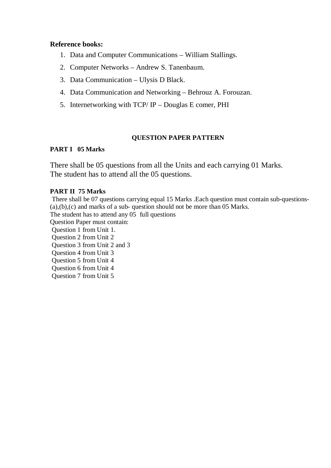## **Reference books:**

- 1. Data and Computer Communications William Stallings.
- 2. Computer Networks Andrew S. Tanenbaum.
- 3. Data Communication Ulysis D Black.
- 4. Data Communication and Networking Behrouz A. Forouzan.
- 5. Internetworking with TCP/ IP Douglas E comer, PHI

## **QUESTION PAPER PATTERN**

## **PART I 05 Marks**

There shall be 05 questions from all the Units and each carrying 01 Marks. The student has to attend all the 05 questions.

## **PART II 75 Marks**

There shall be 07 questions carrying equal 15 Marks .Each question must contain sub-questions- (a),(b),(c) and marks of a sub- question should not be more than 05 Marks. The student has to attend any 05 full questions Question Paper must contain: Question 1 from Unit 1. Question 2 from Unit 2 Question 3 from Unit 2 and 3 Question 4 from Unit 3 Question 5 from Unit 4 Question 6 from Unit 4 Question 7 from Unit 5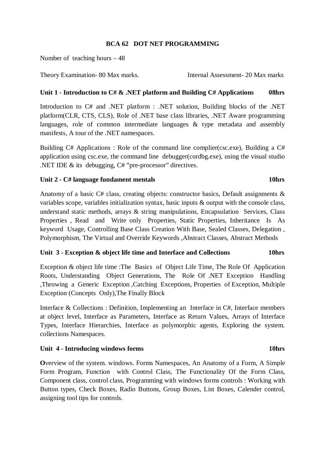## **BCA 62 DOT NET PROGRAMMING**

Number of teaching hours – 48

Theory Examination- 80 Max marks. Internal Assessment- 20 Max marks

# **Unit 1 - Introduction to C# & .NET platform and Building C# Applications 08hrs**

Introduction to C# and .NET platform : .NET solution, Building blocks of the .NET platform(CLR, CTS, CLS), Role of .NET base class libraries, .NET Aware programming languages, role of common intermediate languages & type metadata and assembly manifests, A tour of the .NET namespaces.

Building C# Applications : Role of the command line complier(csc.exe), Building a C# application using csc.exe, the command line debugger(cordbg.exe), using the visual studio .NET IDE & its debugging, C# "pre-processor" directives.

## Unit 2 - C# language fundament mentals **10hrs 10hrs**

Anatomy of a basic C# class, creating objects: constructor basics, Default assignments & variables scope, variables initialization syntax, basic inputs & output with the console class, understand static methods, arrays & string manipulations, Encapsulation Services, Class Properties , Read and Write only Properties, Static Properties, Inheritance Is As keyword Usage, Controlling Base Class Creation With Base, Sealed Classes, Delegation , Polymorphism, The Virtual and Override Keywords ,Abstract Classes, Abstract Methods

## **Unit 3 - Exception & object life time and Interface and Collections 10hrs**

Exception & object life time :The Basics of Object Life Time, The Role Of Application Roots, Understanding Object Generations, The Role Of .NET Exception Handling ,Throwing a Generic Exception ,Catching Exceptions, Properties of Exception, Multiple Exception (Concepts Only),The Finally Block

Interface & Collections : Definition, Implementing an Interface in C#, Interface members at object level, Interface as Parameters, Interface as Return Values, Arrays of Interface Types, Interface Hierarchies, Interface as polymorphic agents, Exploring the system. collections Namespaces.

## Unit 4 - Introducing windows forms **10hrs**

**O**verview of the system. windows. Forms Namespaces, An Anatomy of a Form, A Simple Form Program, Function with Control Class, The Functionality Of the Form Class, Component class, control class, Programming with windows forms controls : Working with Button types, Check Boxes, Radio Buttons, Group Boxes, List Boxes, Calender control, assigning tool tips for controls.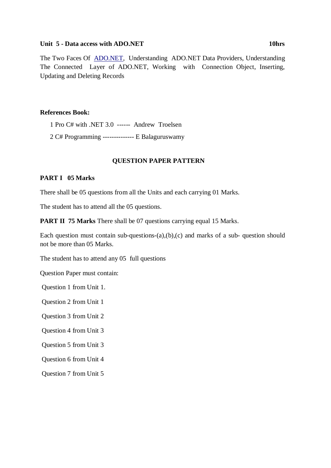### **Unit 5 - Data access with [ADO.NET](http://www.rediffmail.com/cgi-bin/red.cgi?red=http%3A%2F%2FADO%2ENET&isImage=0&BlockImage=0&rediffng=0) 10hrs**

The Two Faces Of [ADO.NET](http://www.rediffmail.com/cgi-bin/red.cgi?red=http%3A%2F%2FADO%2ENET&isImage=0&BlockImage=0&rediffng=0), Understanding ADO.NET Data Providers, Understanding The Connected Layer of ADO.NET, Working with Connection Object, Inserting, Updating and Deleting Records

## **References Book:**

1 Pro C# with .NET 3.0 ------ Andrew Troelsen

2 C# Programming -------------- E Balaguruswamy

## **QUESTION PAPER PATTERN**

## **PART I 05 Marks**

There shall be 05 questions from all the Units and each carrying 01 Marks.

The student has to attend all the 05 questions.

**PART II 75 Marks** There shall be 07 questions carrying equal 15 Marks.

Each question must contain sub-questions- $(a)$ , $(b)$ , $(c)$  and marks of a sub-question should not be more than 05 Marks.

The student has to attend any 05 full questions

Question Paper must contain:

Question 1 from Unit 1.

Question 2 from Unit 1

Question 3 from Unit 2

Question 4 from Unit 3

Question 5 from Unit 3

Question 6 from Unit 4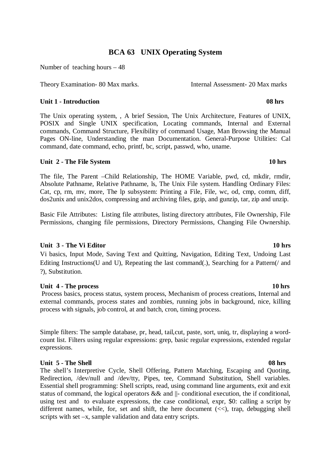# **BCA 63 UNIX Operating System**

Number of teaching hours  $-48$ 

Theory Examination- 80 Max marks. Internal Assessment- 20 Max marks

## **Unit 1 - Introduction 08 hrs 08 hrs 08 hrs**

The Unix operating system, , A brief Session, The Unix Architecture, Features of UNIX, POSIX and Single UNIX specification, Locating commands, Internal and External commands, Command Structure, Flexibility of command Usage, Man Browsing the Manual Pages ON-line, Understanding the man Documentation. General-Purpose Utilities: Cal command, date command, echo, printf, bc, script, passwd, who, uname.

## **Unit 2 - The File System 10 hrs**  10 hrs **10 hrs**

The file, The Parent –Child Relationship, The HOME Variable, pwd, cd, mkdir, rmdir, Absolute Pathname, Relative Pathname, ls, The Unix File system. Handling Ordinary Files: Cat, cp, rm, mv, more, The lp subsystem: Printing a File, File, wc, od, cmp, comm, diff, dos2unix and unix2dos, compressing and archiving files, gzip, and gunzip, tar, zip and unzip.

Basic File Attributes: Listing file attributes, listing directory attributes, File Ownership, File Permissions, changing file permissions, Directory Permissions, Changing File Ownership.

## **Unit 3 - The Vi Editor 10 hrs**

Vi basics, Input Mode, Saving Text and Quitting, Navigation, Editing Text, Undoing Last Editing Instructions(U and U), Repeating the last command(.), Searching for a Pattern(/ and ?), Substitution.

### **Unit 4 - The process 10 hrs**

 Process basics, process status, system process, Mechanism of process creations, Internal and external commands, process states and zombies, running jobs in background, nice, killing process with signals, job control, at and batch, cron, timing process.

Simple filters: The sample database, pr, head, tail,cut, paste, sort, uniq, tr, displaying a wordcount list. Filters using regular expressions: grep, basic regular expressions, extended regular expressions.

### **Unit 5 - The Shell 08 hrs 08 hrs 08 hrs**

The shell's Interpretive Cycle, Shell Offering, Pattern Matching, Escaping and Quoting, Redirection, /dev/null and /dev/tty, Pipes, tee, Command Substitution, Shell variables. Essential shell programming: Shell scripts, read, using command line arguments, exit and exit status of command, the logical operators && and ||- conditional execution, the if conditional, using test and to evaluate expressions, the case conditional, expr, \$0: calling a script by different names, while, for, set and shift, the here document  $(\langle \langle \rangle)$ , trap, debugging shell scripts with set –x, sample validation and data entry scripts.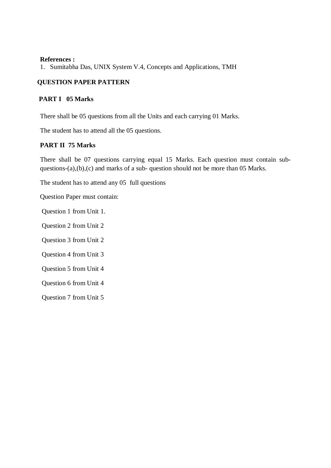### **References :**

1. Sumitabha Das, UNIX System V.4, Concepts and Applications, TMH

## **QUESTION PAPER PATTERN**

### **PART I 05 Marks**

There shall be 05 questions from all the Units and each carrying 01 Marks.

The student has to attend all the 05 questions.

## **PART II 75 Marks**

There shall be 07 questions carrying equal 15 Marks. Each question must contain subquestions-(a),(b),(c) and marks of a sub- question should not be more than 05 Marks.

The student has to attend any 05 full questions

Question Paper must contain:

Question 1 from Unit 1.

Question 2 from Unit 2

Question 3 from Unit 2

Question 4 from Unit 3

Question 5 from Unit 4

Question 6 from Unit 4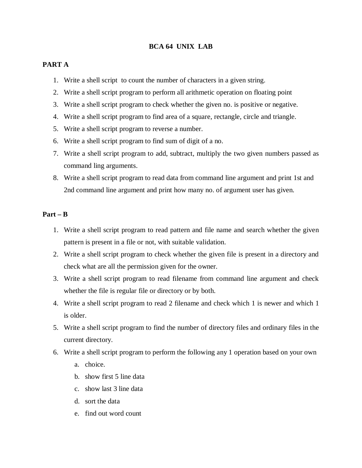## **BCA 64 UNIX LAB**

### **PART A**

- 1. Write a shell script to count the number of characters in a given string.
- 2. Write a shell script program to perform all arithmetic operation on floating point
- 3. Write a shell script program to check whether the given no. is positive or negative.
- 4. Write a shell script program to find area of a square, rectangle, circle and triangle.
- 5. Write a shell script program to reverse a number.
- 6. Write a shell script program to find sum of digit of a no.
- 7. Write a shell script program to add, subtract, multiply the two given numbers passed as command ling arguments.
- 8. Write a shell script program to read data from command line argument and print 1st and 2nd command line argument and print how many no. of argument user has given.

### **Part – B**

- 1. Write a shell script program to read pattern and file name and search whether the given pattern is present in a file or not, with suitable validation.
- 2. Write a shell script program to check whether the given file is present in a directory and check what are all the permission given for the owner.
- 3. Write a shell script program to read filename from command line argument and check whether the file is regular file or directory or by both.
- 4. Write a shell script program to read 2 filename and check which 1 is newer and which 1 is older.
- 5. Write a shell script program to find the number of directory files and ordinary files in the current directory.
- 6. Write a shell script program to perform the following any 1 operation based on your own
	- a. choice.
	- b. show first 5 line data
	- c. show last 3 line data
	- d. sort the data
	- e. find out word count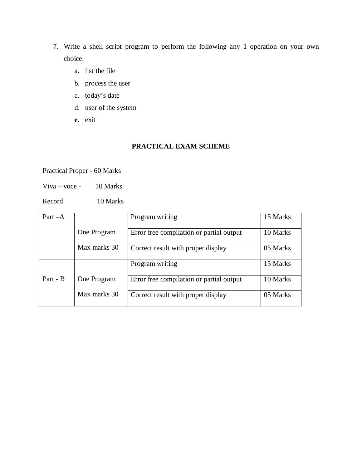- 7. Write a shell script program to perform the following any 1 operation on your own choice.
	- a. list the file
	- b. process the user
	- c. today's date
	- d. user of the system
	- **e.** exit

## **PRACTICAL EXAM SCHEME**

Practical Proper - 60 Marks

Viva – voce -  $10$  Marks

Record 10 Marks

| Part $-A$ |              | Program writing                          | 15 Marks |
|-----------|--------------|------------------------------------------|----------|
|           |              |                                          |          |
|           | One Program  | Error free compilation or partial output | 10 Marks |
|           |              |                                          |          |
|           | Max marks 30 | Correct result with proper display       | 05 Marks |
|           |              |                                          |          |
|           |              | Program writing                          | 15 Marks |
|           |              |                                          |          |
| Part - B  | One Program  | Error free compilation or partial output | 10 Marks |
|           |              |                                          |          |
|           | Max marks 30 | Correct result with proper display       | 05 Marks |
|           |              |                                          |          |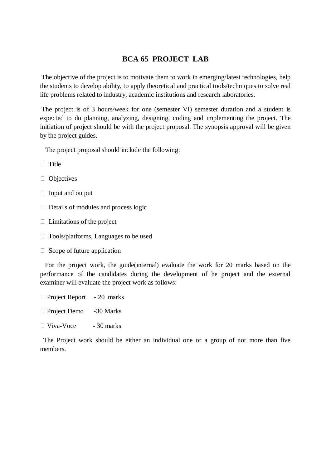# **BCA 65 PROJECT LAB**

 The objective of the project is to motivate them to work in emerging/latest technologies, help the students to develop ability, to apply theoretical and practical tools/techniques to solve real life problems related to industry, academic institutions and research laboratories.

 The project is of 3 hours/week for one (semester VI) semester duration and a student is expected to do planning, analyzing, designing, coding and implementing the project. The initiation of project should be with the project proposal. The synopsis approval will be given by the project guides.

The project proposal should include the following:

- $\Box$  Title
- **D** Objectives
- $\Box$  Input and output
- $\Box$  Details of modules and process logic
- $\Box$  Limitations of the project
- □ Tools/platforms, Languages to be used
- $\Box$  Scope of future application

 For the project work, the guide(internal) evaluate the work for 20 marks based on the performance of the candidates during the development of he project and the external examiner will evaluate the project work as follows:

- $\Box$  Project Report 20 marks
- □ Project Demo -30 Marks
- $\Box$  Viva-Voce 30 marks

 The Project work should be either an individual one or a group of not more than five members.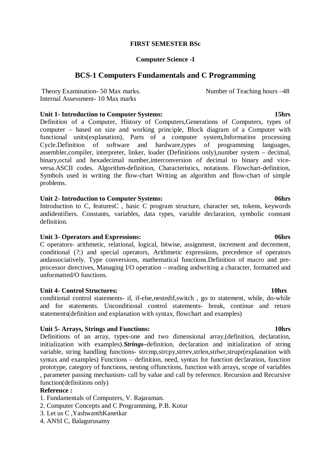## **FIRST SEMESTER BSc**

## **Computer Science -I**

# **BCS-1 Computers Fundamentals and C Programming**

Theory Examination- 50 Max marks. Number of Teaching hours  $-48$ Internal Assessment- 10 Max marks

## **Unit 1- Introduction to Computer Systems: 15hrs**

Definition of a Computer, History of Computers,Generations of Computers, types of computer – based on size and working principle, Block diagram of a Computer with functional units(explanation), Parts of a computer system,Information processing Cycle.Definition of software and hardware,types of programming languages, assembler,compiler, interpreter, linker, loader (Definitions only),number system – decimal, binary,octal and hexadecimal number,interconversion of decimal to binary and viceversa.ASCII codes. Algorithm-definition, Characteristics, notations. Flowchart-definition, Symbols used in writing the flow-chart Writing an algorithm and flow-chart of simple problems.

#### **Unit 2- Introduction to Computer Systems: 06hrs**

Introduction to C, featuresC , basic C program structure, character set, tokens, keywords andidentifiers. Constants, variables, data types, variable declaration, symbolic constant definition.

### **Unit 3- Operators and Expressions: 06hrs**

C operators- arithmetic, relational, logical, bitwise, assignment, increment and decrement, conditional (?:) and special operators, Arithmetic expressions, precedence of operators andassociatively. Type conversions, mathematical functions.Definition of macro and preprocessor directives, Managing I/O operation – reading andwriting a character, formatted and unformatted/O functions.

## **Unit 4- Control Structures: 10hrs**

conditional control statements- if, if-else,nestedif,switch , go to statement, while, do-while and for statements. Unconditional control statements- break, continue and return statements(definition and explanation with syntax, flowchart and examples)

## **Unit 5- Arrays, Strings and Functions: 10hrs**

Definitions of an array, types-one and two dimensional array,(definition, declaration, initialization with examples).*Strings–*definition, declaration and initialization of string variable, string handling functions- strcmp,strcpy,strrev,strlen,strlwr,strupr(explanation with syntax and examples) Functions – definition, need, syntax for function declaration, function prototype, category of functions, nesting offunctions, function with arrays, scope of variables , parameter passing mechanism- call by value and call by reference. Recursion and Recursive function(definitions only)

## **Reference :**

- 1. Fundamentals of Computers, V. Rajaraman.
- 2. Computer Concepts and C Programming, P.B. Kotur
- 3. Let us C ,YashwanthKanetkar
- 4. ANSI C, Balagurusamy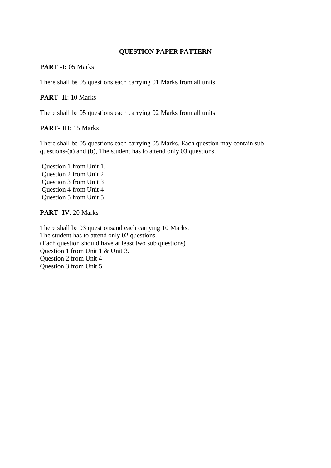### **PART -I:** 05 Marks

There shall be 05 questions each carrying 01 Marks from all units

## **PART -II**: 10 Marks

There shall be 05 questions each carrying 02 Marks from all units

### **PART- III**: 15 Marks

There shall be 05 questions each carrying 05 Marks. Each question may contain sub questions-(a) and (b), The student has to attend only 03 questions.

 Question 1 from Unit 1. Question 2 from Unit 2 Question 3 from Unit 3 Question 4 from Unit 4 Question 5 from Unit 5

## **PART- IV**: 20 Marks

There shall be 03 questionsand each carrying 10 Marks. The student has to attend only 02 questions. (Each question should have at least two sub questions) Question 1 from Unit 1 & Unit 3. Question 2 from Unit 4 Question 3 from Unit 5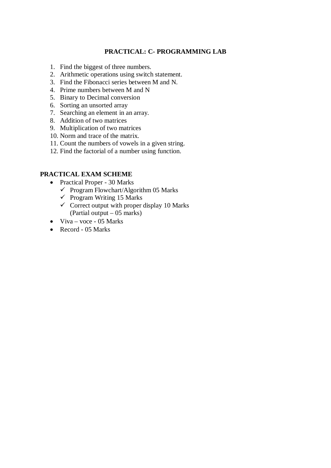# **PRACTICAL: C- PROGRAMMING LAB**

- 1. Find the biggest of three numbers.
- 2. Arithmetic operations using switch statement.
- 3. Find the Fibonacci series between M and N.
- 4. Prime numbers between M and N
- 5. Binary to Decimal conversion
- 6. Sorting an unsorted array
- 7. Searching an element in an array.
- 8. Addition of two matrices
- 9. Multiplication of two matrices
- 10. Norm and trace of the matrix.
- 11. Count the numbers of vowels in a given string.
- 12. Find the factorial of a number using function.

- Practical Proper 30 Marks
	- $\checkmark$  Program Flowchart/Algorithm 05 Marks
	- $\checkmark$  Program Writing 15 Marks
	- $\checkmark$  Correct output with proper display 10 Marks (Partial output – 05 marks)
- $\bullet$  Viva voce 05 Marks
- $\bullet$  Record 05 Marks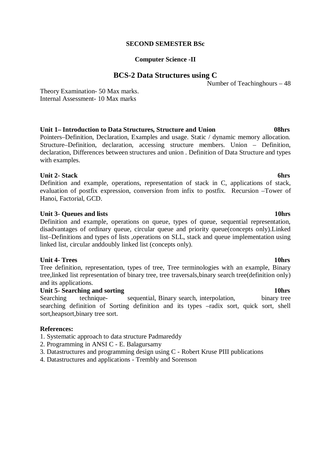#### **SECOND SEMESTER BSc**

#### **Computer Science -II**

# **BCS-2 Data Structures using C**

Number of Teachinghours – 48

Theory Examination- 50 Max marks. Internal Assessment- 10 Max marks

# **Unit 1– Introduction to Data Structures, Structure and Union 08hrs**

Pointers–Definition, Declaration, Examples and usage. Static / dynamic memory allocation. Structure*–*Definition, declaration, accessing structure members. Union *–* Definition, declaration, Differences between structures and union . Definition of Data Structure and types with examples.

# **Unit 2- Stack 6hrs** 6hrs

Definition and example, operations, representation of stack in C, applications of stack, evaluation of postfix expression, conversion from infix to postfix. Recursion –Tower of Hanoi, Factorial, GCD.

# **Unit 3- Queues and lists 10hrs**

Definition and example, operations on queue, types of queue, sequential representation, disadvantages of ordinary queue, circular queue and priority queue(concepts only).Linked list–Definitions and types of lists ,operations on SLL, stack and queue implementation using linked list, circular anddoubly linked list (concepts only).

## **Unit 4- Trees** 10hrs

Tree definition, representation, types of tree, Tree terminologies with an example, Binary tree,linked list representation of binary tree, tree traversals,binary search tree(definition only) and its applications.

# **Unit 5- Searching and sorting 10hrs**

Searching technique- sequential, Binary search, interpolation, binary tree searching definition of Sorting definition and its types –radix sort, quick sort, shell sort,heapsort,binary tree sort.

## **References:**

- 1. Systematic approach to data structure Padmareddy
- 2. Programming in ANSI C E. Balagursamy
- 3. Datastructures and programming design using C Robert Kruse PIII publications
- 4. Datastructures and applications Trembly and Sorenson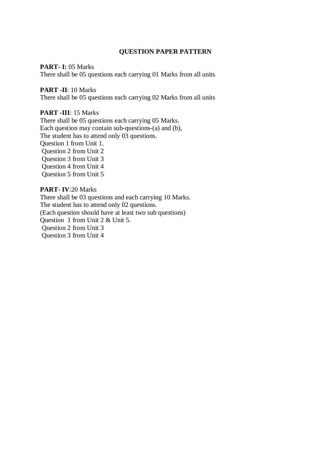#### **PART- I: 05 Marks**

There shall be 05 questions each carrying 01 Marks from all units

## **PART -II**: 10 Marks

There shall be 05 questions each carrying 02 Marks from all units

#### **PART -III**: 15 Marks

There shall be 05 questions each carrying 05 Marks. Each question may contain sub-questions-(a) and (b), The student has to attend only 03 questions. Question 1 from Unit 1. Question 2 from Unit 2 Question 3 from Unit 3 Question 4 from Unit 4 Question 5 from Unit 5

### **PART- IV**:20 Marks

There shall be 03 questions and each carrying 10 Marks. The student has to attend only 02 questions. (Each question should have at least two sub questions) Question 1 from Unit 2 & Unit 5. Question 2 from Unit 3 Question 3 from Unit 4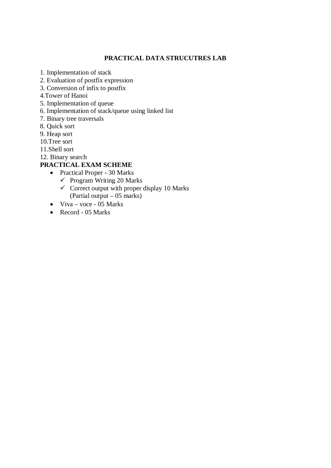# **PRACTICAL DATA STRUCUTRES LAB**

- 1. Implementation of stack
- 2. Evaluation of postfix expression
- 3. Conversion of infix to postfix
- 4.Tower of Hanoi
- 5. Implementation of queue
- 6. Implementation of stack/queue using linked list
- 7. Binary tree traversals
- 8. Quick sort
- 9. Heap sort
- 10.Tree sort
- 11.Shell sort
- 12. Binary search

- Practical Proper 30 Marks
	- $\checkmark$  Program Writing 20 Marks
	- $\checkmark$  Correct output with proper display 10 Marks (Partial output – 05 marks)
- $\bullet$  Viva voce 05 Marks
- $\bullet$  Record 05 Marks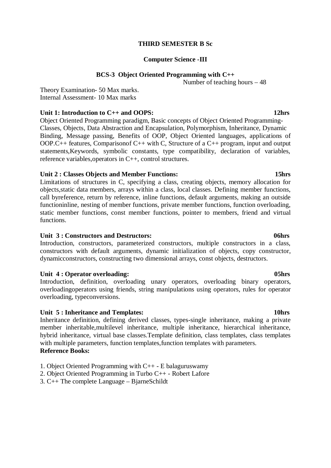## **THIRD SEMESTER B Sc**

### **Computer Science -III**

## **BCS-3 Object Oriented Programming with C++**

Number of teaching hours – 48

Theory Examination- 50 Max marks. Internal Assessment- 10 Max marks

# Unit 1: Introduction to C<sub>++</sub> and OOPS: 12hrs **12hrs**

Object Oriented Programming paradigm, Basic concepts of Object Oriented Programming-Classes, Objects, Data Abstraction and Encapsulation, Polymorphism, Inheritance, Dynamic Binding, Message passing, Benefits of OOP, Object Oriented languages, applications of OOP.C++ features, Comparisonof C++ with C, Structure of a C++ program, input and output statements,Keywords, symbolic constants, type compatibility, declaration of variables, reference variables,operators in C++, control structures.

# **Unit 2 : Classes Objects and Member Functions: 15hrs**

Limitations of structures in C, specifying a class, creating objects, memory allocation for objects,static data members, arrays within a class, local classes. Defining member functions, call byreference, return by reference, inline functions, default arguments, making an outside functioninline, nesting of member functions, private member functions, function overloading, static member functions, const member functions, pointer to members, friend and virtual functions.

## **Unit 3 : Constructors and Destructors: 06hrs**

Introduction, constructors, parameterized constructors, multiple constructors in a class, constructors with default arguments, dynamic initialization of objects, copy constructor, dynamicconstructors, constructing two dimensional arrays, const objects, destructors.

## **Unit 4 : Operator overloading: 05hrs**

Introduction, definition, overloading unary operators, overloading binary operators, overloadingoperators using friends, string manipulations using operators, rules for operator overloading, typeconversions.

## Unit 5 : Inheritance and Templates: 10hrs **10hrs**

Inheritance definition, defining derived classes, types-single inheritance, making a private member inheritable,multilevel inheritance, multiple inheritance, hierarchical inheritance, hybrid inheritance, virtual base classes.Template definition, class templates, class templates with multiple parameters, function templates, function templates with parameters. **Reference Books:** 

- 1. Object Oriented Programming with C++ E balaguruswamy
- 2. Object Oriented Programming in Turbo C++ Robert Lafore
- 3. C++ The complete Language BjarneSchildt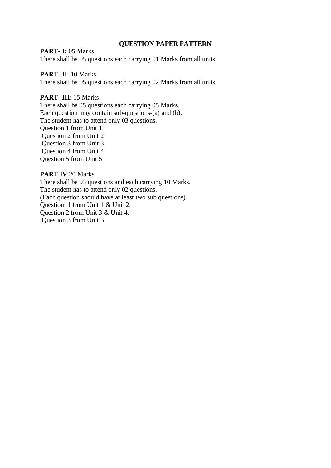## **PART- I: 05 Marks**

There shall be 05 questions each carrying 01 Marks from all units

## **PART- II**: 10 Marks

There shall be 05 questions each carrying 02 Marks from all units

# **PART- III**: 15 Marks

There shall be 05 questions each carrying 05 Marks. Each question may contain sub-questions-(a) and (b), The student has to attend only 03 questions. Question 1 from Unit 1. Question 2 from Unit 2 Question 3 from Unit 3 Question 4 from Unit 4 Question 5 from Unit 5

## **PART IV**:20 Marks

There shall be 03 questions and each carrying 10 Marks. The student has to attend only 02 questions. (Each question should have at least two sub questions) Question 1 from Unit 1 & Unit 2. Question 2 from Unit 3 & Unit 4. Question 3 from Unit 5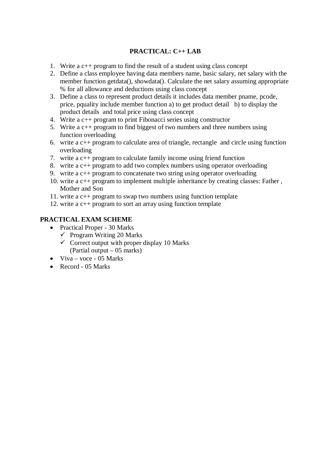# **PRACTICAL: C++ LAB**

- 1. Write a c++ program to find the result of a student using class concept
- 2. Define a class employee having data members name, basic salary, net salary with the member function getdata(), showdata(). Calculate the net salary assuming appropriate % for all allowance and deductions using class concept
- 3. Define a class to represent product details it includes data member pname, pcode, price, pquality include member function a) to get product detail b) to display the product details and total price using class concept
- 4. Write a c++ program to print Fibonacci series using constructor
- 5. Write a c++ program to find biggest of two numbers and three numbers using function overloading
- 6. write a c++ program to calculate area of triangle, rectangle and circle using function overloading
- 7. write a c++ program to calculate family income using friend function
- 8. write a c++ program to add two complex numbers using operator overloading
- 9. write a c++ program to concatenate two string using operator overloading
- 10. write a c++ program to implement multiple inheritance by creating classes: Father , Mother and Son
- 11. write a c++ program to swap two numbers using function template
- 12. write a c++ program to sort an array using function template

- Practical Proper 30 Marks
	- $\checkmark$  Program Writing 20 Marks
	- $\checkmark$  Correct output with proper display 10 Marks (Partial output – 05 marks)
- $\bullet$  Viva voce 05 Marks
- x Record 05 Marks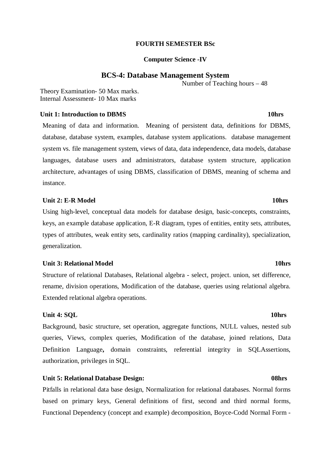#### **FOURTH SEMESTER BSc**

#### **Computer Science -IV**

#### **BCS-4: Database Management System**

Number of Teaching hours – 48

Theory Examination- 50 Max marks. Internal Assessment- 10 Max marks

## **Unit 1: Introduction to DRMS** 10hrs

Meaning of data and information. Meaning of persistent data, definitions for DBMS, database, database system, examples, database system applications. database management system vs. file management system, views of data, data independence, data models, database languages, database users and administrators, database system structure, application architecture, advantages of using DBMS, classification of DBMS, meaning of schema and instance.

#### Unit 2: E-R Model **10hrs 10hrs**

Using high-level, conceptual data models for database design, basic-concepts, constraints, keys, an example database application, E-R diagram, types of entities, entity sets, attributes, types of attributes, weak entity sets, cardinality ratios (mapping cardinality), specialization, generalization.

#### **Unit 3: Relational Model 10hrs 3: Relational Model 10hrs**

Structure of relational Databases, Relational algebra - select, project. union, set difference, rename, division operations, Modification of the database, queries using relational algebra. Extended relational algebra operations.

## **Unit 4: SOL** 10hrs **10hrs**

Background, basic structure, set operation, aggregate functions, NULL values, nested sub queries, Views, complex queries, Modification of the database, joined relations, Data Definition Language**,** domain constraints, referential integrity in SQLAssertions, authorization, privileges in SQL.

## **Unit 5: Relational Database Design: 08hrs**

Pitfalls in relational data base design, Normalization for relational databases. Normal forms based on primary keys, General definitions of first, second and third normal forms, Functional Dependency (concept and example) decomposition, Boyce-Codd Normal Form -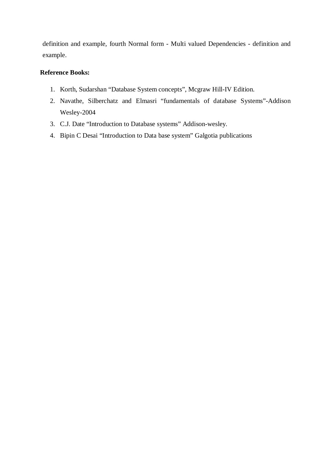definition and example, fourth Normal form - Multi valued Dependencies - definition and example.

# **Reference Books:**

- 1. Korth, Sudarshan "Database System concepts", Mcgraw Hill-IV Edition.
- 2. Navathe, Silberchatz and Elmasri "fundamentals of database Systems"-Addison Wesley-2004
- 3. C.J. Date "Introduction to Database systems" Addison-wesley.
- 4. Bipin C Desai "Introduction to Data base system" Galgotia publications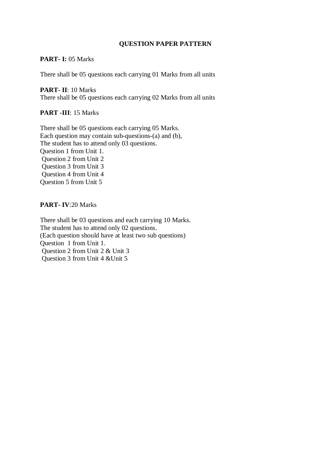# **PART- I:** 05 Marks

There shall be 05 questions each carrying 01 Marks from all units

**PART- II**: 10 Marks There shall be 05 questions each carrying 02 Marks from all units

# **PART -III**: 15 Marks

There shall be 05 questions each carrying 05 Marks. Each question may contain sub-questions-(a) and (b), The student has to attend only 03 questions. Question 1 from Unit 1. Question 2 from Unit 2 Question 3 from Unit 3 Question 4 from Unit 4 Question 5 from Unit 5

# **PART- IV**:20 Marks

There shall be 03 questions and each carrying 10 Marks. The student has to attend only 02 questions. (Each question should have at least two sub questions) Question 1 from Unit 1. Question 2 from Unit 2 & Unit 3 Question 3 from Unit 4 &Unit 5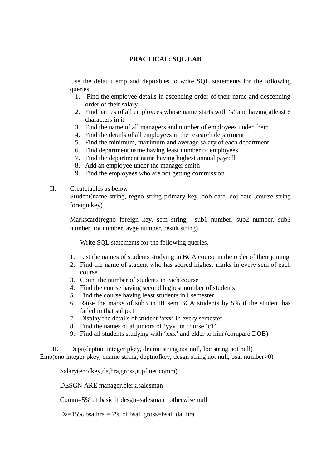# **PRACTICAL: SQL LAB**

- I. Use the default emp and depttables to write SQL statements for the following queries
	- 1. Find the employee details in ascending order of their name and descending order of their salary
	- 2. Find names of all employees whose name starts with 's' and having atleast 6 characters in it
	- 3. Find the name of all managers and number of employees under them
	- 4. Find the details of all employees in the research department
	- 5. Find the minimum, maximum and average salary of each department
	- 6. Find department name having least number of employees
	- 7. Find the department name having highest annual payroll
	- 8. Add an employee under the manager smith
	- 9. Find the employees who are not getting commission

## II. Createtables as below

Student(name string, regno string primary key, dob date, doj date ,course string foreign key)

Markscard(regno foreign key, sem string, sub1 number, sub2 number, sub3 number, tot number, avge number, result string)

Write SQL statements for the following queries.

- 1. List the names of students studying in BCA course in the order of their joining
- 2. Find the name of student who has scored highest marks in every sem of each course
- 3. Count the number of students in each course
- 4. Find the course having second highest number of students
- 5. Find the course having least students in I semester
- 6. Raise the marks of sub3 in III sem BCA students by 5% if the student has failed in that subject
- 7. Display the details of student 'xxx' in every semester.
- 8. Find the names of al juniors of 'yyy' in course 'c1'
- 9. Find all students studying with 'xxx' and elder to him (compare DOB)

III. Dept(deptno integer pkey, dname string not null, loc string not null) Emp(eno integer pkey, ename string, deptnofkey, desgn string not null, bsal number>0)

Salary(enofkey,da,hra,gross,it,pf,net,comm)

DESGN ARE manager,clerk,salesman

Comm=5% of basic if desgn=salesman otherwise null

Da=15% bsalhra = 7% of bsal gross=bsal+da+hra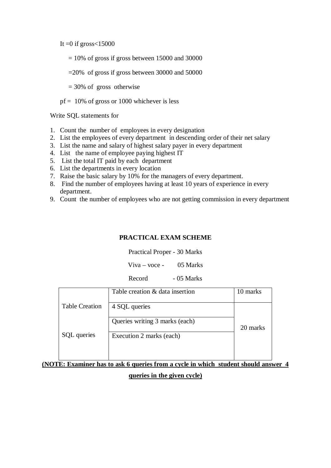It  $=0$  if gross $< 15000$ 

- $= 10\%$  of gross if gross between 15000 and 30000
- $=20\%$  of gross if gross between 30000 and 50000
- = 30% of gross otherwise
- $pf = 10\%$  of gross or 1000 whichever is less

Write SQL statements for

- 1. Count the number of employees in every designation
- 2. List the employees of every department in descending order of their net salary
- 3. List the name and salary of highest salary payer in every department
- 4. List the name of employee paying highest IT
- 5. List the total IT paid by each department
- 6. List the departments in every location
- 7. Raise the basic salary by 10% for the managers of every department.
- 8. Find the number of employees having at least 10 years of experience in every department.
- 9. Count the number of employees who are not getting commission in every department

### **PRACTICAL EXAM SCHEME**

Practical Proper - 30 Marks

 $Viva - voce - 05 Marks$ 

Record - 05 Marks

|                       | Table creation & data insertion | 10 marks |
|-----------------------|---------------------------------|----------|
| <b>Table Creation</b> | 4 SQL queries                   |          |
|                       | Queries writing 3 marks (each)  | 20 marks |
| SQL queries           | Execution 2 marks (each)        |          |
|                       |                                 |          |

# **(NOTE: Examiner has to ask 6 queries from a cycle in which student should answer 4 queries in the given cycle)**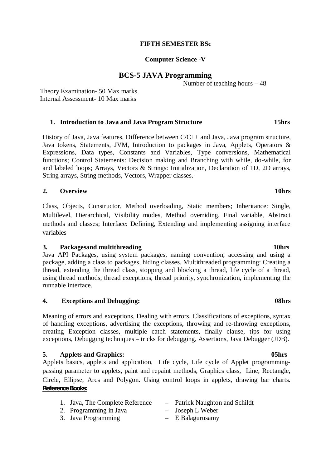## **FIFTH SEMESTER BSc**

#### **Computer Science -V**

### **BCS-5 JAVA Programming**

Number of teaching hours – 48

Theory Examination- 50 Max marks. Internal Assessment- 10 Max marks

#### **1. Introduction to Java and Java Program Structure 15hrs**

History of Java, Java features, Difference between C/C++ and Java, Java program structure, Java tokens, Statements, JVM, Introduction to packages in Java, Applets, Operators & Expressions, Data types, Constants and Variables, Type conversions, Mathematical functions; Control Statements: Decision making and Branching with while, do-while, for and labeled loops; Arrays, Vectors & Strings: Initialization, Declaration of 1D, 2D arrays, String arrays, String methods, Vectors, Wrapper classes.

#### **2. Overview 10hrs**

Class, Objects, Constructor, Method overloading, Static members; Inheritance: Single, Multilevel, Hierarchical, Visibility modes, Method overriding, Final variable, Abstract methods and classes; Interface: Defining, Extending and implementing assigning interface variables

#### **3. Packagesand multithreading 10hrs**

Java API Packages, using system packages, naming convention, accessing and using a package, adding a class to packages, hiding classes. Multithreaded programming: Creating a thread, extending the thread class, stopping and blocking a thread, life cycle of a thread, using thread methods, thread exceptions, thread priority, synchronization, implementing the runnable interface.

## **4. Exceptions and Debugging: 08hrs**

Meaning of errors and exceptions, Dealing with errors, Classifications of exceptions, syntax of handling exceptions, advertising the exceptions, throwing and re-throwing exceptions, creating Exception classes, multiple catch statements, finally clause, tips for using exceptions, Debugging techniques – tricks for debugging, Assertions, Java Debugger (JDB).

#### **5. Applets and Graphics: 05hrs**

Applets basics, applets and application, Life cycle, Life cycle of Applet programmingpassing parameter to applets, paint and repaint methods, Graphics class, Line, Rectangle, Circle, Ellipse, Arcs and Polygon. Using control loops in applets, drawing bar charts. **Reference Books:**

| 1. Java, The Complete Reference | - Patrick Naughton and Schildt |
|---------------------------------|--------------------------------|
| 2. Programming in Java          | $-$ Joseph L Weber             |
| 3. Java Programming             | $-$ E Balagurusamy             |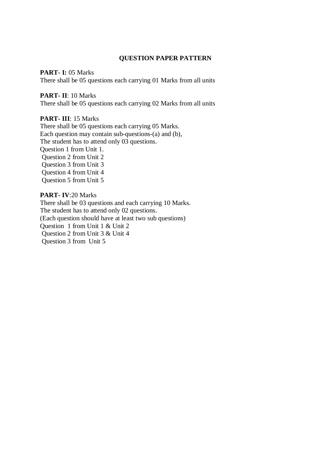#### **PART- I:** 05 Marks

There shall be 05 questions each carrying 01 Marks from all units

### **PART- II**: 10 Marks

There shall be 05 questions each carrying 02 Marks from all units

# **PART- III**: 15 Marks

There shall be 05 questions each carrying 05 Marks. Each question may contain sub-questions-(a) and (b), The student has to attend only 03 questions. Question 1 from Unit 1. Question 2 from Unit 2 Question 3 from Unit 3 Question 4 from Unit 4 Question 5 from Unit 5

#### **PART- IV**:20 Marks

There shall be 03 questions and each carrying 10 Marks. The student has to attend only 02 questions. (Each question should have at least two sub questions) Question 1 from Unit 1 & Unit 2 Question 2 from Unit 3 & Unit 4 Question 3 from Unit 5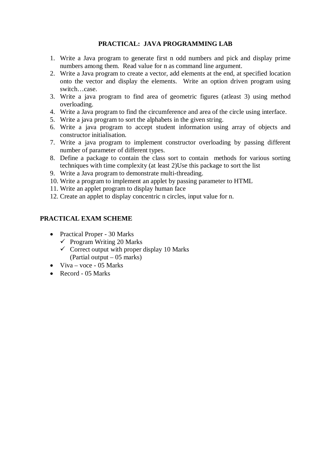# **PRACTICAL: JAVA PROGRAMMING LAB**

- 1. Write a Java program to generate first n odd numbers and pick and display prime numbers among them. Read value for n as command line argument.
- 2. Write a Java program to create a vector, add elements at the end, at specified location onto the vector and display the elements. Write an option driven program using switch…case.
- 3. Write a java program to find area of geometric figures (atleast 3) using method overloading.
- 4. Write a Java program to find the circumference and area of the circle using interface.
- 5. Write a java program to sort the alphabets in the given string.
- 6. Write a java program to accept student information using array of objects and constructor initialisation.
- 7. Write a java program to implement constructor overloading by passing different number of parameter of different types.
- 8. Define a package to contain the class sort to contain methods for various sorting techniques with time complexity (at least 2)Use this package to sort the list
- 9. Write a Java program to demonstrate multi-threading.
- 10. Write a program to implement an applet by passing parameter to HTML
- 11. Write an applet program to display human face
- 12. Create an applet to display concentric n circles, input value for n.

- Practical Proper 30 Marks
	- $\checkmark$  Program Writing 20 Marks
	- $\checkmark$  Correct output with proper display 10 Marks (Partial output – 05 marks)
- $\bullet$  Viva voce 05 Marks
- $\bullet$  Record 05 Marks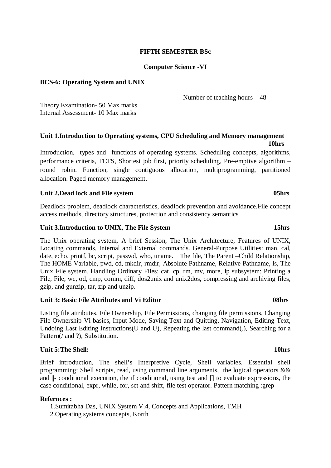## **FIFTH SEMESTER BSc**

#### **Computer Science -VI**

#### **BCS-6: Operating System and UNIX**

Number of teaching hours – 48

Theory Examination- 50 Max marks. Internal Assessment- 10 Max marks

## **Unit 1.Introduction to Operating systems, CPU Scheduling and Memory management 10hrs**

Introduction, types and functions of operating systems. Scheduling concepts, algorithms, performance criteria, FCFS, Shortest job first, priority scheduling, Pre-emptive algorithm – round robin. Function, single contiguous allocation, multiprogramming, partitioned allocation. Paged memory management.

## Unit 2.Dead lock and File system **05hrs** 05hrs

Deadlock problem, deadlock characteristics, deadlock prevention and avoidance.File concept access methods, directory structures, protection and consistency semantics

#### **Unit 3.Introduction to UNIX, The File System 15hrs**

The Unix operating system, A brief Session, The Unix Architecture, Features of UNIX, Locating commands, Internal and External commands. General-Purpose Utilities: man, cal, date, echo, printf, bc, script, passwd, who, uname. The file, The Parent –Child Relationship, The HOME Variable, pwd, cd, mkdir, rmdir, Absolute Pathname, Relative Pathname, ls, The Unix File system. Handling Ordinary Files: cat, cp, rm, mv, more, lp subsystem: Printing a File, File, wc, od, cmp, comm, diff, dos2unix and unix2dos, compressing and archiving files, gzip, and gunzip, tar, zip and unzip.

#### **Unit 3: Basic File Attributes and Vi Editor 08hrs**

Listing file attributes, File Ownership, File Permissions, changing file permissions, Changing File Ownership Vi basics, Input Mode, Saving Text and Quitting, Navigation, Editing Text, Undoing Last Editing Instructions(U and U), Repeating the last command(.), Searching for a Pattern(/ and ?), Substitution.

#### **Unit 5:The Shell: 10hrs**

Brief introduction, The shell's Interpretive Cycle, Shell variables. Essential shell programming: Shell scripts, read, using command line arguments, the logical operators && and ||- conditional execution, the if conditional, using test and [] to evaluate expressions, the case conditional, expr, while, for, set and shift, file test operator. Pattern matching :grep

#### **Refernces :**

1.Sumitabha Das, UNIX System V.4, Concepts and Applications, TMH 2.Operating systems concepts, Korth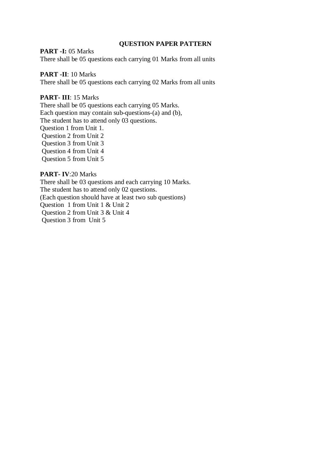## **PART -I:** 05 Marks

There shall be 05 questions each carrying 01 Marks from all units

# **PART -II**: 10 Marks

There shall be 05 questions each carrying 02 Marks from all units

## **PART- III**: 15 Marks

There shall be 05 questions each carrying 05 Marks. Each question may contain sub-questions-(a) and (b), The student has to attend only 03 questions. Question 1 from Unit 1. Question 2 from Unit 2 Question 3 from Unit 3 Question 4 from Unit 4 Question 5 from Unit 5

# **PART- IV**:20 Marks

There shall be 03 questions and each carrying 10 Marks. The student has to attend only 02 questions. (Each question should have at least two sub questions) Question 1 from Unit 1 & Unit 2 Question 2 from Unit 3 & Unit 4 Question 3 from Unit 5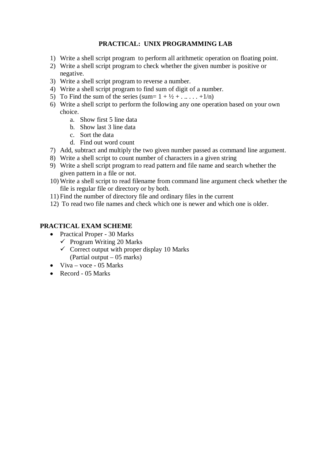# **PRACTICAL: UNIX PROGRAMMING LAB**

- 1) Write a shell script program to perform all arithmetic operation on floating point.
- 2) Write a shell script program to check whether the given number is positive or negative.
- 3) Write a shell script program to reverse a number.
- 4) Write a shell script program to find sum of digit of a number.
- 5) To Find the sum of the series (sum=  $1 + \frac{1}{2} + \dots + \frac{1}{n}$ )
- 6) Write a shell script to perform the following any one operation based on your own choice.
	- a. Show first 5 line data
	- b. Show last 3 line data
	- c. Sort the data
	- d. Find out word count
- 7) Add, subtract and multiply the two given number passed as command line argument.
- 8) Write a shell script to count number of characters in a given string
- 9) Write a shell script program to read pattern and file name and search whether the given pattern in a file or not.
- 10) Write a shell script to read filename from command line argument check whether the file is regular file or directory or by both.
- 11) Find the number of directory file and ordinary files in the current
- 12) To read two file names and check which one is newer and which one is older.

- Practical Proper 30 Marks
	- $\checkmark$  Program Writing 20 Marks
	- $\checkmark$  Correct output with proper display 10 Marks (Partial output – 05 marks)
- $\bullet$  Viva voce 05 Marks
- $\bullet$  Record 05 Marks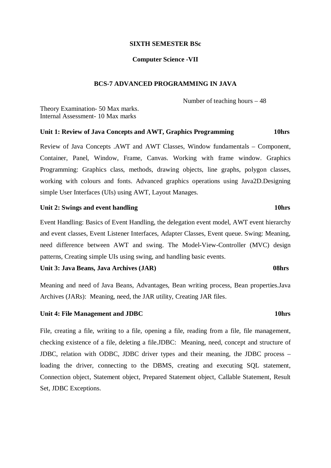#### **SIXTH SEMESTER BSc**

#### **Computer Science -VII**

### **BCS-7 ADVANCED PROGRAMMING IN JAVA**

Number of teaching hours – 48

Theory Examination- 50 Max marks. Internal Assessment- 10 Max marks

# **Unit 1: Review of Java Concepts and AWT, Graphics Programming 10hrs**

Review of Java Concepts .AWT and AWT Classes, Window fundamentals – Component, Container, Panel, Window, Frame, Canvas. Working with frame window. Graphics Programming: Graphics class, methods, drawing objects, line graphs, polygon classes, working with colours and fonts. Advanced graphics operations using Java2D.Designing simple User Interfaces (UIs) using AWT, Layout Manages.

#### Unit 2: Swings and event handling 10hrs

Event Handling: Basics of Event Handling, the delegation event model, AWT event hierarchy and event classes, Event Listener Interfaces, Adapter Classes, Event queue. Swing: Meaning, need difference between AWT and swing. The Model-View-Controller (MVC) design patterns, Creating simple UIs using swing, and handling basic events.

#### **Unit 3: Java Beans, Java Archives (JAR) 08hrs**

Meaning and need of Java Beans, Advantages, Bean writing process, Bean properties.Java Archives (JARs): Meaning, need, the JAR utility, Creating JAR files.

### **Unit 4: File Management and JDBC** 10hrs **10hrs**

File, creating a file, writing to a file, opening a file, reading from a file, file management, checking existence of a file, deleting a file.JDBC: Meaning, need, concept and structure of JDBC, relation with ODBC, JDBC driver types and their meaning, the JDBC process – loading the driver, connecting to the DBMS, creating and executing SQL statement, Connection object, Statement object, Prepared Statement object, Callable Statement, Result Set, JDBC Exceptions.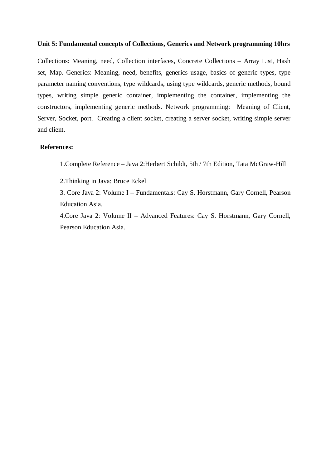#### **Unit 5: Fundamental concepts of Collections, Generics and Network programming 10hrs**

Collections: Meaning, need, Collection interfaces, Concrete Collections – Array List, Hash set, Map. Generics: Meaning, need, benefits, generics usage, basics of generic types, type parameter naming conventions, type wildcards, using type wildcards, generic methods, bound types, writing simple generic container, implementing the container, implementing the constructors, implementing generic methods. Network programming: Meaning of Client, Server, Socket, port. Creating a client socket, creating a server socket, writing simple server and client.

#### **References:**

1.Complete Reference – Java 2:Herbert Schildt, 5th / 7th Edition, Tata McGraw-Hill

2.Thinking in Java: Bruce Eckel

3. Core Java 2: Volume I – Fundamentals: Cay S. Horstmann, Gary Cornell, Pearson Education Asia.

4.Core Java 2: Volume II – Advanced Features: Cay S. Horstmann, Gary Cornell, Pearson Education Asia.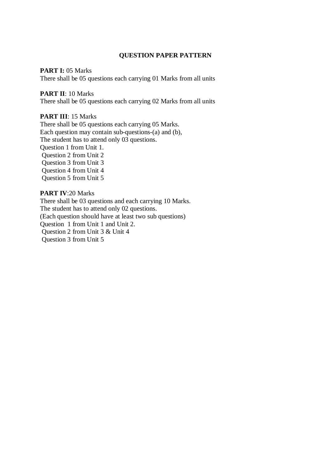### **PART I: 05 Marks**

There shall be 05 questions each carrying 01 Marks from all units

#### **PART II**: 10 Marks

There shall be 05 questions each carrying 02 Marks from all units

## **PART III**: 15 Marks

There shall be 05 questions each carrying 05 Marks. Each question may contain sub-questions-(a) and (b), The student has to attend only 03 questions. Question 1 from Unit 1. Question 2 from Unit 2 Question 3 from Unit 3 Question 4 from Unit 4 Question 5 from Unit 5

## **PART IV**:20 Marks

There shall be 03 questions and each carrying 10 Marks. The student has to attend only 02 questions. (Each question should have at least two sub questions) Question 1 from Unit 1 and Unit 2. Question 2 from Unit 3 & Unit 4 Question 3 from Unit 5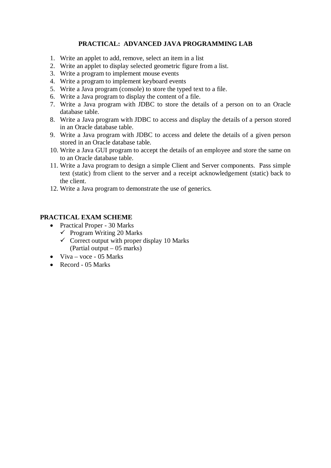# **PRACTICAL: ADVANCED JAVA PROGRAMMING LAB**

- 1. Write an applet to add, remove, select an item in a list
- 2. Write an applet to display selected geometric figure from a list.
- 3. Write a program to implement mouse events
- 4. Write a program to implement keyboard events
- 5. Write a Java program (console) to store the typed text to a file.
- 6. Write a Java program to display the content of a file.
- 7. Write a Java program with JDBC to store the details of a person on to an Oracle database table.
- 8. Write a Java program with JDBC to access and display the details of a person stored in an Oracle database table.
- 9. Write a Java program with JDBC to access and delete the details of a given person stored in an Oracle database table.
- 10. Write a Java GUI program to accept the details of an employee and store the same on to an Oracle database table.
- 11. Write a Java program to design a simple Client and Server components. Pass simple text (static) from client to the server and a receipt acknowledgement (static) back to the client.
- 12. Write a Java program to demonstrate the use of generics.

- Practical Proper 30 Marks
	- $\checkmark$  Program Writing 20 Marks
	- $\checkmark$  Correct output with proper display 10 Marks (Partial output – 05 marks)
- $\bullet$  Viva voce 05 Marks
- $\bullet$  Record 05 Marks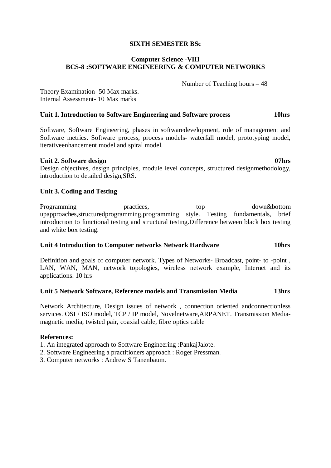#### **SIXTH SEMESTER BSc**

## **Computer Science -VIII BCS-8 :SOFTWARE ENGINEERING & COMPUTER NETWORKS**

Number of Teaching hours – 48

Theory Examination- 50 Max marks. Internal Assessment- 10 Max marks

### **Unit 1. Introduction to Software Engineering and Software process 10hrs**

Software, Software Engineering, phases in softwaredevelopment, role of management and Software metrics. Software process, process models- waterfall model, prototyping model, iterativeenhancement model and spiral model.

#### Unit 2. Software design 07hrs **07hrs**

Design objectives, design principles, module level concepts, structured designmethodology, introduction to detailed design,SRS.

#### **Unit 3. Coding and Testing**

Programming **practices**, top down&bottom **by** down&bottom upapproaches,structuredprogramming,programming style. Testing fundamentals, brief introduction to functional testing and structural testing.Difference between black box testing and white box testing.

## **Unit 4 Introduction to Computer networks Network Hardware 10hrs**

Definition and goals of computer network. Types of Networks- Broadcast, point- to -point , LAN, WAN, MAN, network topologies, wireless network example, Internet and its applications. 10 hrs

## **Unit 5 Network Software, Reference models and Transmission Media 13hrs**

Network Architecture, Design issues of network , connection oriented andconnectionless services. OSI / ISO model, TCP / IP model, Novelnetware,ARPANET. Transmission Mediamagnetic media, twisted pair, coaxial cable, fibre optics cable

#### **References:**

1. An integrated approach to Software Engineering :PankajJalote.

2. Software Engineering a practitioners approach : Roger Pressman.

3. Computer networks : Andrew S Tanenbaum.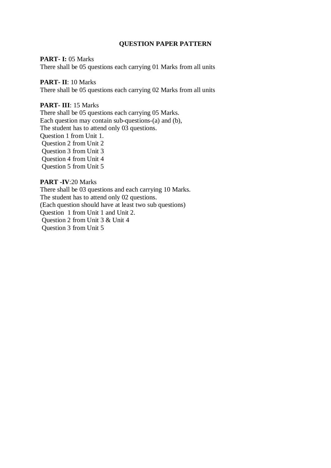# **PART- I:** 05 Marks

There shall be 05 questions each carrying 01 Marks from all units

## **PART- II**: 10 Marks

There shall be 05 questions each carrying 02 Marks from all units

## **PART- III**: 15 Marks

There shall be 05 questions each carrying 05 Marks. Each question may contain sub-questions-(a) and (b), The student has to attend only 03 questions. Question 1 from Unit 1. Question 2 from Unit 2 Question 3 from Unit 3 Question 4 from Unit 4 Question 5 from Unit 5

## **PART -IV**:20 Marks

There shall be 03 questions and each carrying 10 Marks. The student has to attend only 02 questions. (Each question should have at least two sub questions) Question 1 from Unit 1 and Unit 2. Question 2 from Unit 3 & Unit 4 Question 3 from Unit 5